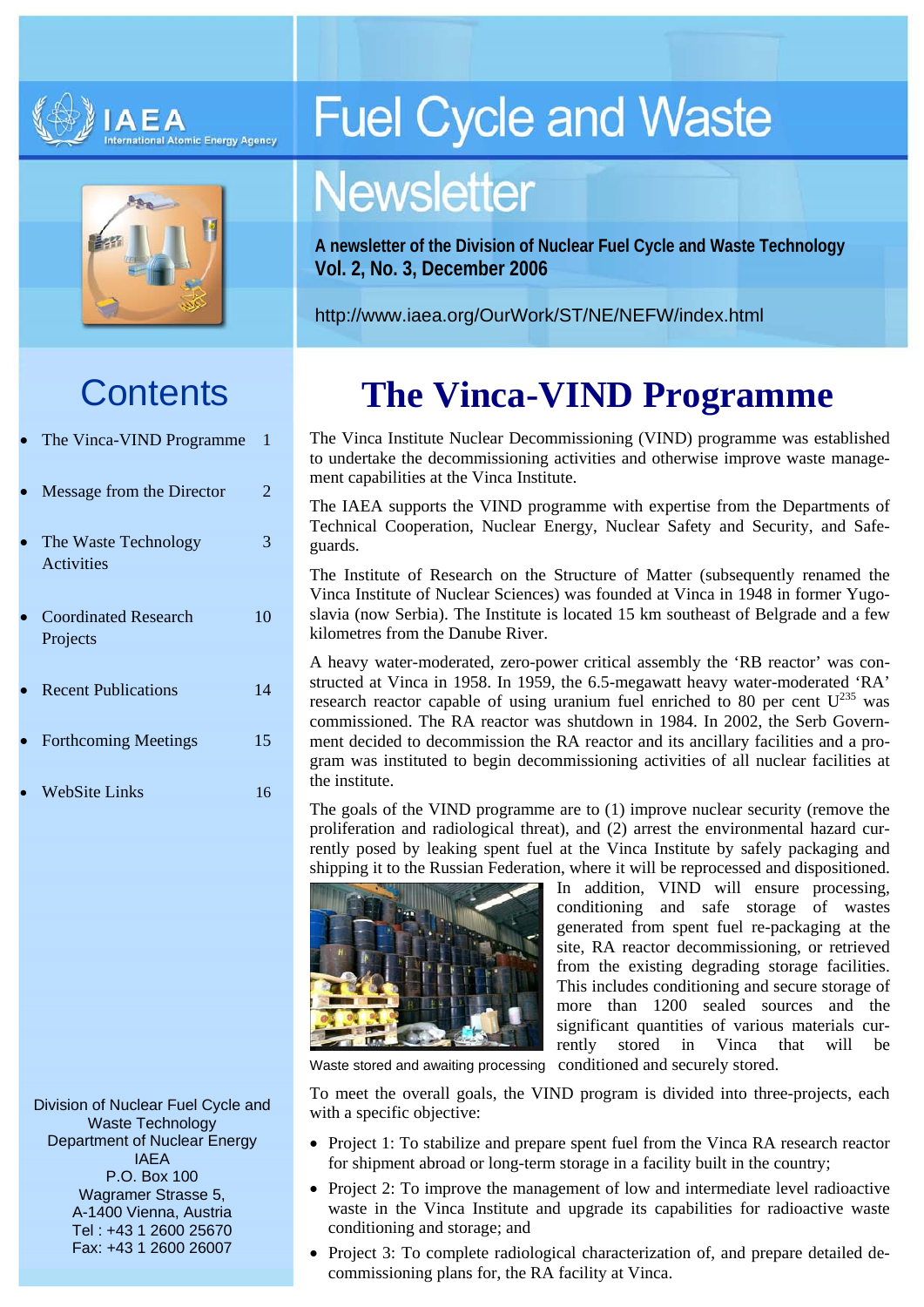



## **Contents**

| The Vinca-VIND Programme                | 1  |
|-----------------------------------------|----|
| Message from the Director               | 2. |
| The Waste Technology<br>Activities      | 3  |
| <b>Coordinated Research</b><br>Projects | 10 |
| <b>Recent Publications</b>              | 14 |
| <b>Forthcoming Meetings</b>             | 15 |
| WebSite Links                           | 16 |

Division of Nuclear Fuel Cycle and<br>with a specific objective: Waste Technology Department of Nuclear Energy IAEA P.O. Box 100 Wagramer Strasse 5, A-1400 Vienna, Austria Tel : +43 1 2600 25670 Fax: +43 1 2600 26007

# **Fuel Cycle and Waste**

# **Newsletter**

**A newsletter of the Division of Nuclear Fuel Cycle and Waste Technology Vol. 2, No. 3, December 2006** 

<http://www.iaea.org/OurWork/ST/NE/NEFW/index.html>

## **The Vinca-VIND Programme**

The Vinca Institute Nuclear Decommissioning (VIND) programme was established to undertake the decommissioning activities and otherwise improve waste management capabilities at the Vinca Institute.

The IAEA supports the VIND programme with expertise from the Departments of Technical Cooperation, Nuclear Energy, Nuclear Safety and Security, and Safeguards.

The Institute of Research on the Structure of Matter (subsequently renamed the Vinca Institute of Nuclear Sciences) was founded at Vinca in 1948 in former Yugoslavia (now Serbia). The Institute is located 15 km southeast of Belgrade and a few kilometres from the Danube River.

A heavy water-moderated, zero-power critical assembly the 'RB reactor' was constructed at Vinca in 1958. In 1959, the 6.5-megawatt heavy water-moderated 'RA' research reactor capable of using uranium fuel enriched to 80 per cent  $U^{235}$  was commissioned. The RA reactor was shutdown in 1984. In 2002, the Serb Government decided to decommission the RA reactor and its ancillary facilities and a program was instituted to begin decommissioning activities of all nuclear facilities at the institute.

The goals of the VIND programme are to (1) improve nuclear security (remove the proliferation and radiological threat), and (2) arrest the environmental hazard currently posed by leaking spent fuel at the Vinca Institute by safely packaging and shipping it to the Russian Federation, where it will be reprocessed and dispositioned.



In addition, VIND will ensure processing, conditioning and safe storage of wastes generated from spent fuel re-packaging at the site, RA reactor decommissioning, or retrieved from the existing degrading storage facilities. This includes conditioning and secure storage of more than 1200 sealed sources and the significant quantities of various materials currently stored in Vinca that will be

Waste stored and awaiting processing conditioned and securely stored.

To meet the overall goals, the VIND program is divided into three-projects, each

- Project 1: To stabilize and prepare spent fuel from the Vinca RA research reactor for shipment abroad or long-term storage in a facility built in the country;
- Project 2: To improve the management of low and intermediate level radioactive waste in the Vinca Institute and upgrade its capabilities for radioactive waste conditioning and storage; and
- Project 3: To complete radiological characterization of, and prepare detailed decommissioning plans for, the RA facility at Vinca.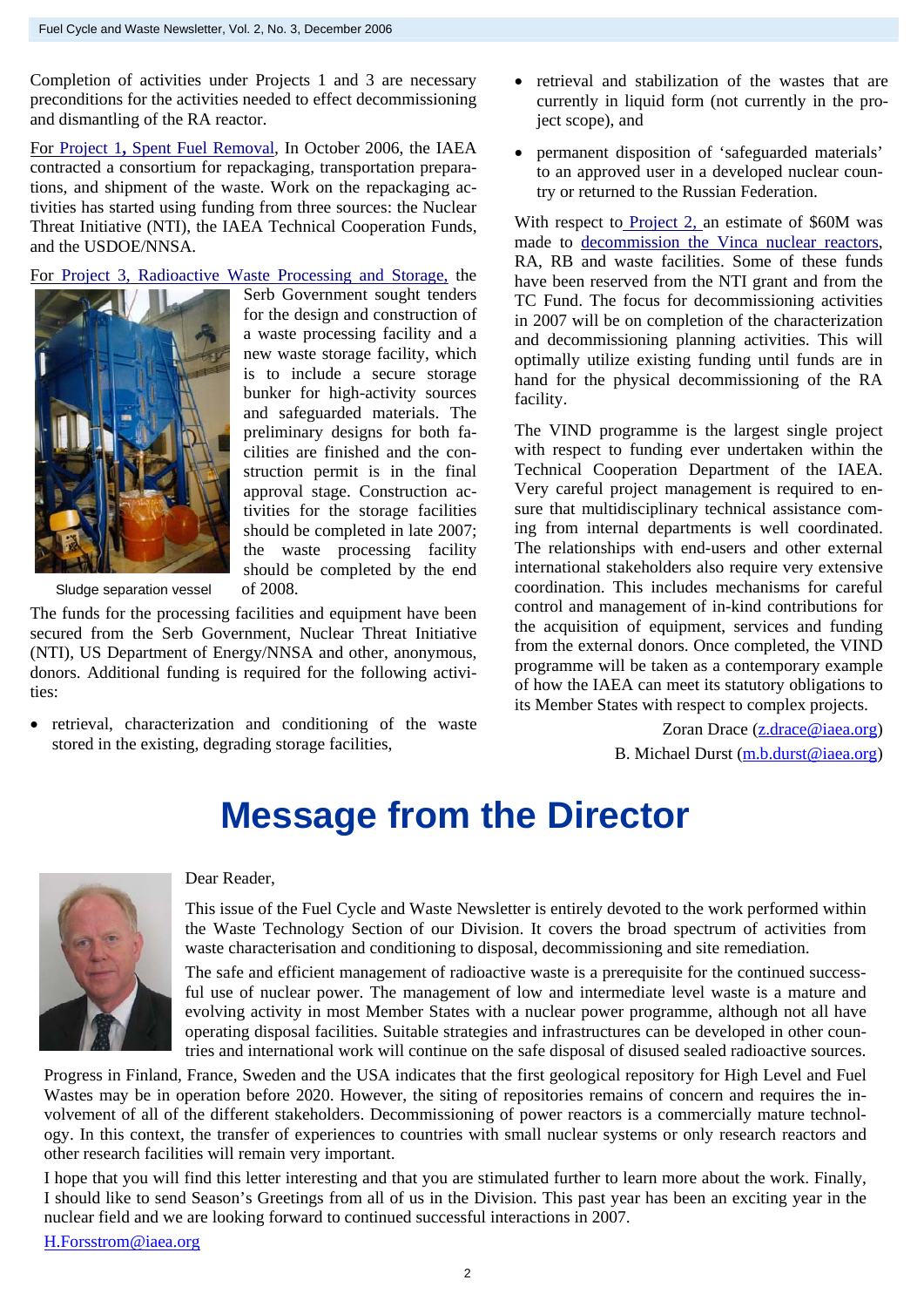Completion of activities under Projects 1 and 3 are necessary preconditions for the activities needed to effect decommissioning and dismantling of the RA reactor.

For Project 1**,** Spent Fuel Removal*,* In October 2006, the IAEA contracted a consortium for repackaging, transportation preparations, and shipment of the waste. Work on the repackaging activities has started using funding from three sources: the Nuclear Threat Initiative (NTI), the IAEA Technical Cooperation Funds, and the USDOE/NNSA.

For Project 3, Radioactive Waste Processing and Storage, the



Serb Government sought tenders for the design and construction of a waste processing facility and a new waste storage facility, which is to include a secure storage bunker for high-activity sources and safeguarded materials. The preliminary designs for both facilities are finished and the construction permit is in the final approval stage. Construction activities for the storage facilities should be completed in late 2007; the waste processing facility should be completed by the end

Sludge separation vessel of 2008.

The funds for the processing facilities and equipment have been secured from the Serb Government, Nuclear Threat Initiative (NTI), US Department of Energy/NNSA and other, anonymous, donors. Additional funding is required for the following activities:

• retrieval, characterization and conditioning of the waste stored in the existing, degrading storage facilities,

- retrieval and stabilization of the wastes that are currently in liquid form (not currently in the project scope), and
- permanent disposition of 'safeguarded materials' to an approved user in a developed nuclear country or returned to the Russian Federation.

With respect to Project 2, an estimate of \$60M was made to decommission the Vinca nuclear reactors, RA, RB and waste facilities. Some of these funds have been reserved from the NTI grant and from the TC Fund. The focus for decommissioning activities in 2007 will be on completion of the characterization and decommissioning planning activities. This will optimally utilize existing funding until funds are in hand for the physical decommissioning of the RA facility.

The VIND programme is the largest single project with respect to funding ever undertaken within the Technical Cooperation Department of the IAEA. Very careful project management is required to ensure that multidisciplinary technical assistance coming from internal departments is well coordinated. The relationships with end-users and other external international stakeholders also require very extensive coordination. This includes mechanisms for careful control and management of in-kind contributions for the acquisition of equipment, services and funding from the external donors. Once completed, the VIND programme will be taken as a contemporary example of how the IAEA can meet its statutory obligations to its Member States with respect to complex projects.

> Zoran Drace ([z.drace@iaea.org](mailto:z.drace@iaea.org)) B. Michael Durst ([m.b.durst@iaea.org](mailto:m.b.durst@iaea.org))

## **Message from the Director**



Dear Reader,

This issue of the Fuel Cycle and Waste Newsletter is entirely devoted to the work performed within the Waste Technology Section of our Division. It covers the broad spectrum of activities from waste characterisation and conditioning to disposal, decommissioning and site remediation.

The safe and efficient management of radioactive waste is a prerequisite for the continued successful use of nuclear power. The management of low and intermediate level waste is a mature and evolving activity in most Member States with a nuclear power programme, although not all have operating disposal facilities. Suitable strategies and infrastructures can be developed in other countries and international work will continue on the safe disposal of disused sealed radioactive sources.

Progress in Finland, France, Sweden and the USA indicates that the first geological repository for High Level and Fuel Wastes may be in operation before 2020. However, the siting of repositories remains of concern and requires the involvement of all of the different stakeholders. Decommissioning of power reactors is a commercially mature technology. In this context, the transfer of experiences to countries with small nuclear systems or only research reactors and other research facilities will remain very important.

I hope that you will find this letter interesting and that you are stimulated further to learn more about the work. Finally, I should like to send Season's Greetings from all of us in the Division. This past year has been an exciting year in the nuclear field and we are looking forward to continued successful interactions in 2007.

H.Forsstrom@iaea.org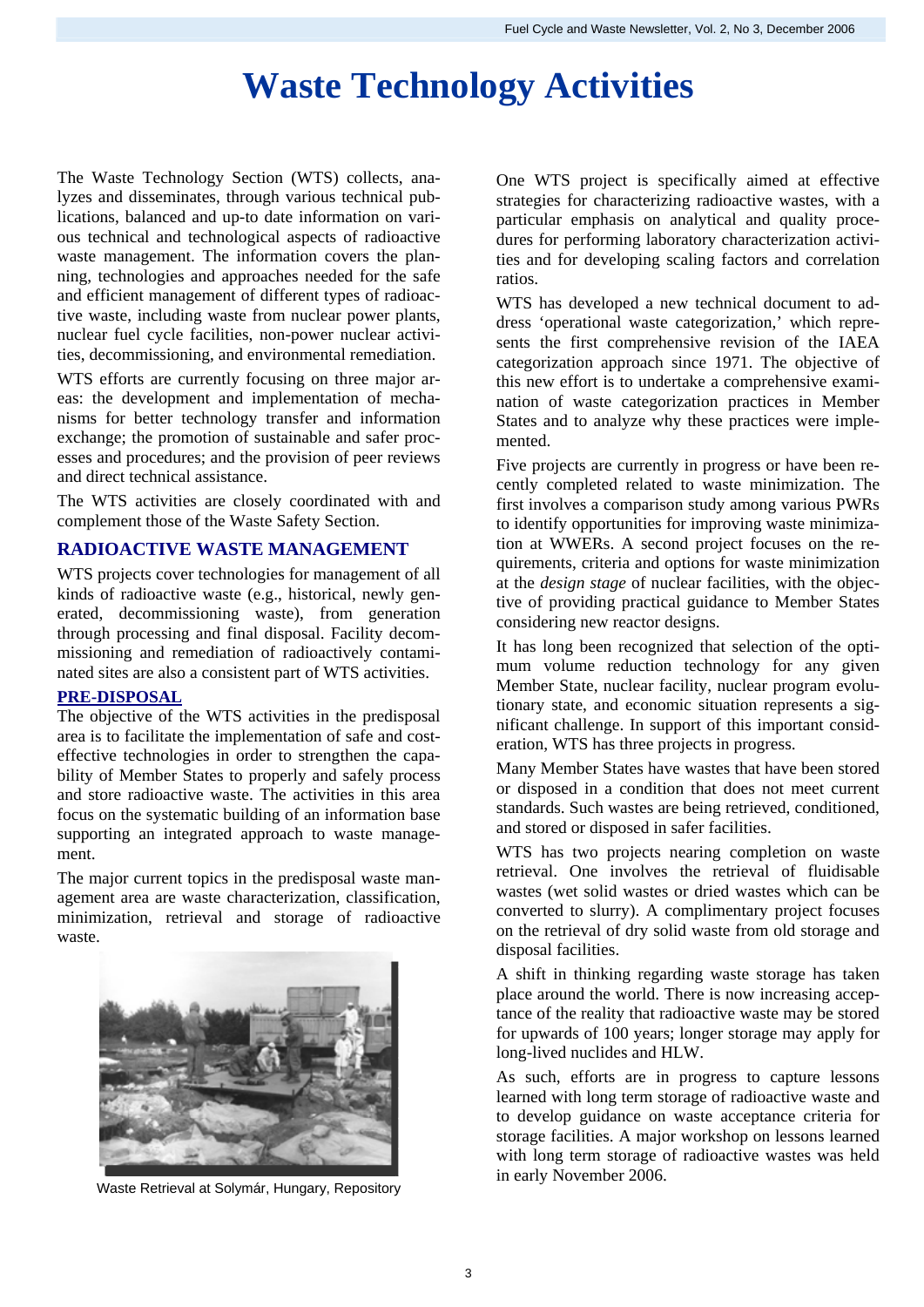## **Waste Technology Activities**

The Waste Technology Section (WTS) collects, analyzes and disseminates, through various technical publications, balanced and up-to date information on various technical and technological aspects of radioactive waste management. The information covers the planning, technologies and approaches needed for the safe and efficient management of different types of radioactive waste, including waste from nuclear power plants, nuclear fuel cycle facilities, non-power nuclear activities, decommissioning, and environmental remediation.

WTS efforts are currently focusing on three major areas: the development and implementation of mechanisms for better technology transfer and information exchange; the promotion of sustainable and safer processes and procedures; and the provision of peer reviews and direct technical assistance.

The WTS activities are closely coordinated with and complement those of the Waste Safety Section.

## **RADIOACTIVE WASTE MANAGEMENT**

WTS projects cover technologies for management of all kinds of radioactive waste (e.g., historical, newly generated, decommissioning waste), from generation through processing and final disposal. Facility decommissioning and remediation of radioactively contaminated sites are also a consistent part of WTS activities.

#### **PRE-DISPOSAL**

The objective of the WTS activities in the predisposal area is to facilitate the implementation of safe and costeffective technologies in order to strengthen the capability of Member States to properly and safely process and store radioactive waste. The activities in this area focus on the systematic building of an information base supporting an integrated approach to waste management.

The major current topics in the predisposal waste management area are waste characterization, classification, minimization, retrieval and storage of radioactive waste.



Waste Retrieval at Solymár, Hungary, Repository

One WTS project is specifically aimed at effective strategies for characterizing radioactive wastes, with a particular emphasis on analytical and quality procedures for performing laboratory characterization activities and for developing scaling factors and correlation ratios.

WTS has developed a new technical document to address 'operational waste categorization,' which represents the first comprehensive revision of the IAEA categorization approach since 1971. The objective of this new effort is to undertake a comprehensive examination of waste categorization practices in Member States and to analyze why these practices were implemented.

Five projects are currently in progress or have been recently completed related to waste minimization. The first involves a comparison study among various PWRs to identify opportunities for improving waste minimization at WWERs. A second project focuses on the requirements, criteria and options for waste minimization at the *design stage* of nuclear facilities, with the objective of providing practical guidance to Member States considering new reactor designs.

It has long been recognized that selection of the optimum volume reduction technology for any given Member State, nuclear facility, nuclear program evolutionary state, and economic situation represents a significant challenge. In support of this important consideration, WTS has three projects in progress.

Many Member States have wastes that have been stored or disposed in a condition that does not meet current standards. Such wastes are being retrieved, conditioned, and stored or disposed in safer facilities.

WTS has two projects nearing completion on waste retrieval. One involves the retrieval of fluidisable wastes (wet solid wastes or dried wastes which can be converted to slurry). A complimentary project focuses on the retrieval of dry solid waste from old storage and disposal facilities.

A shift in thinking regarding waste storage has taken place around the world. There is now increasing acceptance of the reality that radioactive waste may be stored for upwards of 100 years; longer storage may apply for long-lived nuclides and HLW.

As such, efforts are in progress to capture lessons learned with long term storage of radioactive waste and to develop guidance on waste acceptance criteria for storage facilities. A major workshop on lessons learned with long term storage of radioactive wastes was held in early November 2006.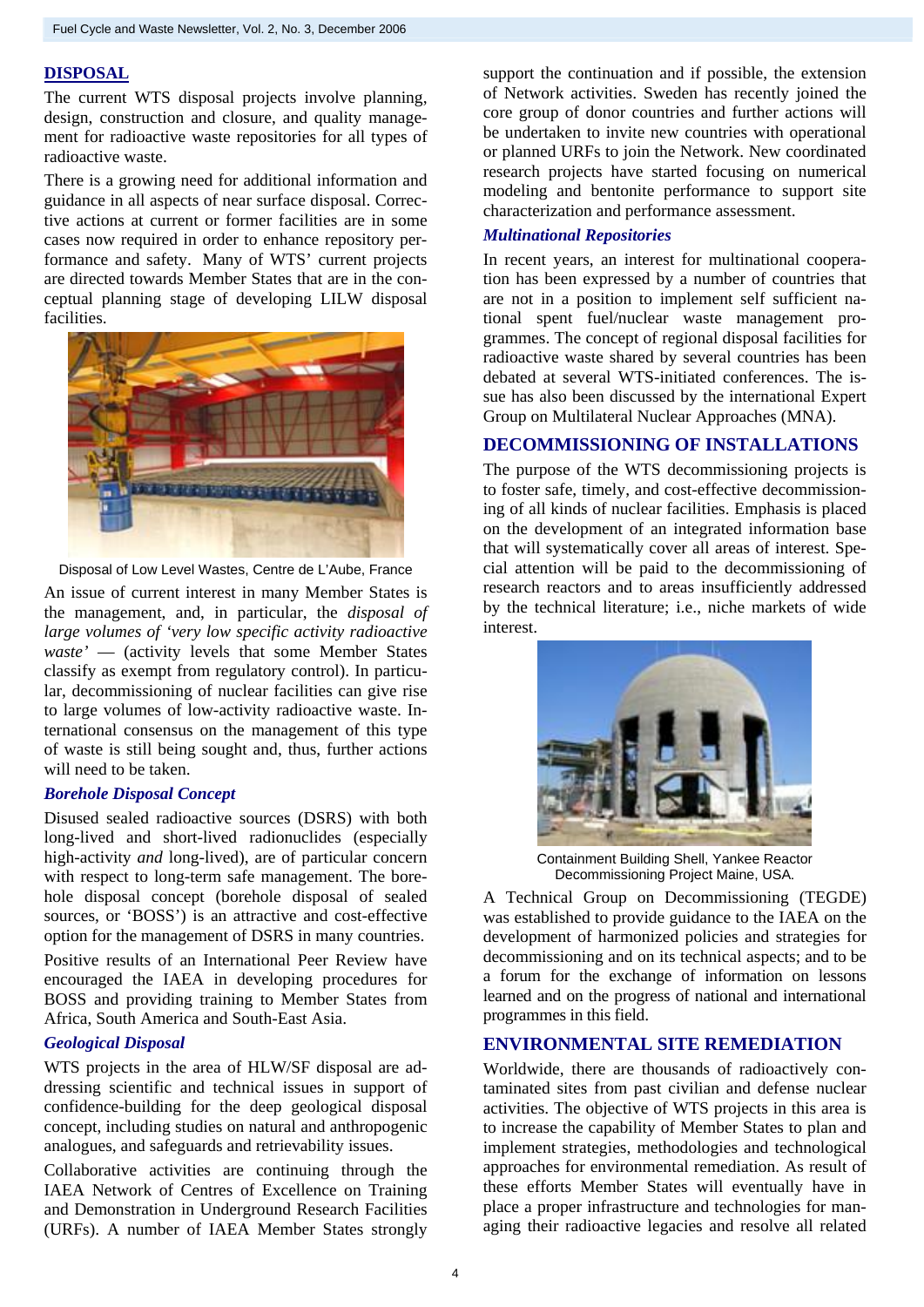## **DISPOSAL**

The current WTS disposal projects involve planning, design, construction and closure, and quality management for radioactive waste repositories for all types of radioactive waste.

There is a growing need for additional information and guidance in all aspects of near surface disposal. Corrective actions at current or former facilities are in some cases now required in order to enhance repository performance and safety. Many of WTS' current projects are directed towards Member States that are in the conceptual planning stage of developing LILW disposal facilities.



Disposal of Low Level Wastes, Centre de L'Aube, France

An issue of current interest in many Member States is the management, and, in particular, the *disposal of large volumes of 'very low specific activity radioactive waste'* — (activity levels that some Member States classify as exempt from regulatory control). In particular, decommissioning of nuclear facilities can give rise to large volumes of low-activity radioactive waste. International consensus on the management of this type of waste is still being sought and, thus, further actions will need to be taken.

### *Borehole Disposal Concept*

Disused sealed radioactive sources (DSRS) with both long-lived and short-lived radionuclides (especially high-activity *and* long-lived), are of particular concern with respect to long-term safe management. The borehole disposal concept (borehole disposal of sealed sources, or 'BOSS') is an attractive and cost-effective option for the management of DSRS in many countries.

Positive results of an International Peer Review have encouraged the IAEA in developing procedures for BOSS and providing training to Member States from Africa, South America and South-East Asia.

## *Geological Disposal*

WTS projects in the area of HLW/SF disposal are addressing scientific and technical issues in support of confidence-building for the deep geological disposal concept, including studies on natural and anthropogenic analogues, and safeguards and retrievability issues.

Collaborative activities are continuing through the IAEA Network of Centres of Excellence on Training and Demonstration in Underground Research Facilities (URFs). A number of IAEA Member States strongly

support the continuation and if possible, the extension of Network activities. Sweden has recently joined the core group of donor countries and further actions will be undertaken to invite new countries with operational or planned URFs to join the Network. New coordinated research projects have started focusing on numerical modeling and bentonite performance to support site characterization and performance assessment.

## *Multinational Repositories*

In recent years, an interest for multinational cooperation has been expressed by a number of countries that are not in a position to implement self sufficient national spent fuel/nuclear waste management programmes. The concept of regional disposal facilities for radioactive waste shared by several countries has been debated at several WTS-initiated conferences. The issue has also been discussed by the international Expert Group on Multilateral Nuclear Approaches (MNA).

## **DECOMMISSIONING OF INSTALLATIONS**

The purpose of the WTS decommissioning projects is to foster safe, timely, and cost-effective decommissioning of all kinds of nuclear facilities. Emphasis is placed on the development of an integrated information base that will systematically cover all areas of interest. Special attention will be paid to the decommissioning of research reactors and to areas insufficiently addressed by the technical literature; i.e., niche markets of wide interest.



Containment Building Shell, Yankee Reactor Decommissioning Project Maine, USA.

A Technical Group on Decommissioning (TEGDE) was established to provide guidance to the IAEA on the development of harmonized policies and strategies for decommissioning and on its technical aspects; and to be a forum for the exchange of information on lessons learned and on the progress of national and international programmes in this field.

## **ENVIRONMENTAL SITE REMEDIATION**

Worldwide, there are thousands of radioactively contaminated sites from past civilian and defense nuclear activities. The objective of WTS projects in this area is to increase the capability of Member States to plan and implement strategies, methodologies and technological approaches for environmental remediation. As result of these efforts Member States will eventually have in place a proper infrastructure and technologies for managing their radioactive legacies and resolve all related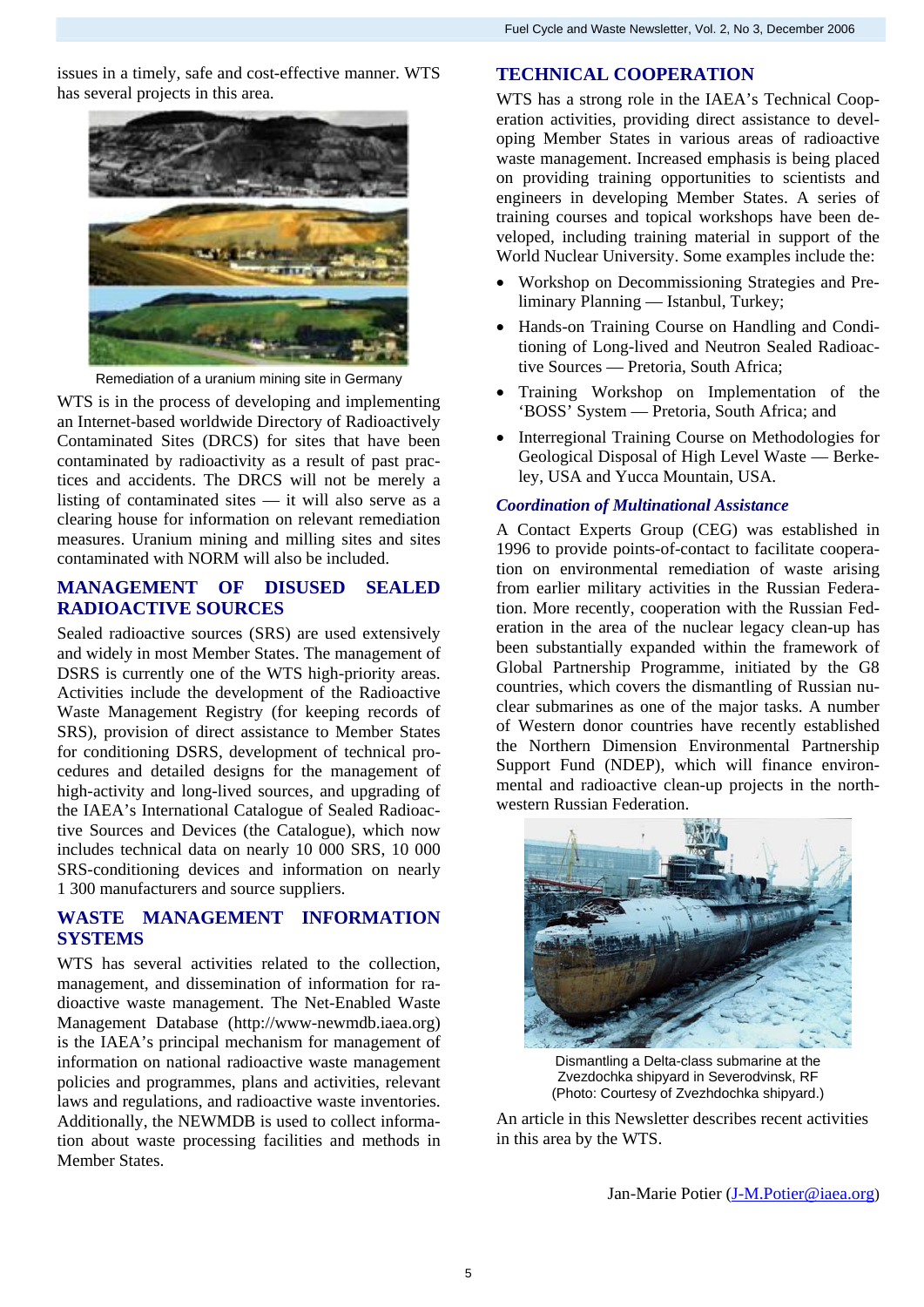issues in a timely, safe and cost-effective manner. WTS has several projects in this area.



Remediation of a uranium mining site in Germany

WTS is in the process of developing and implementing an Internet-based worldwide Directory of Radioactively Contaminated Sites (DRCS) for sites that have been contaminated by radioactivity as a result of past practices and accidents. The DRCS will not be merely a listing of contaminated sites — it will also serve as a clearing house for information on relevant remediation measures. Uranium mining and milling sites and sites contaminated with NORM will also be included.

## **MANAGEMENT OF DISUSED SEALED RADIOACTIVE SOURCES**

Sealed radioactive sources (SRS) are used extensively and widely in most Member States. The management of DSRS is currently one of the WTS high-priority areas. Activities include the development of the Radioactive Waste Management Registry (for keeping records of SRS), provision of direct assistance to Member States for conditioning DSRS, development of technical procedures and detailed designs for the management of high-activity and long-lived sources, and upgrading of the IAEA's International Catalogue of Sealed Radioactive Sources and Devices (the Catalogue), which now includes technical data on nearly 10 000 SRS, 10 000 SRS-conditioning devices and information on nearly 1 300 manufacturers and source suppliers.

## **WASTE MANAGEMENT INFORMATION SYSTEMS**

WTS has several activities related to the collection, management, and dissemination of information for radioactive waste management. The Net-Enabled Waste Management Database (http://www-newmdb.iaea.org) is the IAEA's principal mechanism for management of information on national radioactive waste management policies and programmes, plans and activities, relevant laws and regulations, and radioactive waste inventories. Additionally, the NEWMDB is used to collect information about waste processing facilities and methods in Member States.

## **TECHNICAL COOPERATION**

WTS has a strong role in the IAEA's Technical Cooperation activities, providing direct assistance to developing Member States in various areas of radioactive waste management. Increased emphasis is being placed on providing training opportunities to scientists and engineers in developing Member States. A series of training courses and topical workshops have been developed, including training material in support of the World Nuclear University. Some examples include the:

- Workshop on Decommissioning Strategies and Preliminary Planning — Istanbul, Turkey;
- Hands-on Training Course on Handling and Conditioning of Long-lived and Neutron Sealed Radioactive Sources — Pretoria, South Africa;
- Training Workshop on Implementation of the 'BOSS' System — Pretoria, South Africa; and
- Interregional Training Course on Methodologies for Geological Disposal of High Level Waste — Berkeley, USA and Yucca Mountain, USA.

### *Coordination of Multinational Assistance*

A Contact Experts Group (CEG) was established in 1996 to provide points-of-contact to facilitate cooperation on environmental remediation of waste arising from earlier military activities in the Russian Federation. More recently, cooperation with the Russian Federation in the area of the nuclear legacy clean-up has been substantially expanded within the framework of Global Partnership Programme, initiated by the G8 countries, which covers the dismantling of Russian nuclear submarines as one of the major tasks. A number of Western donor countries have recently established the Northern Dimension Environmental Partnership Support Fund (NDEP), which will finance environmental and radioactive clean-up projects in the northwestern Russian Federation.



Dismantling a Delta-class submarine at the Zvezdochka shipyard in Severodvinsk, RF (Photo: Courtesy of Zvezhdochka shipyard.)

An article in this Newsletter describes recent activities in this area by the WTS.

Jan-Marie Potier ([J-M.Potier@iaea.org\)](mailto:J-M.Potier@iaea.org)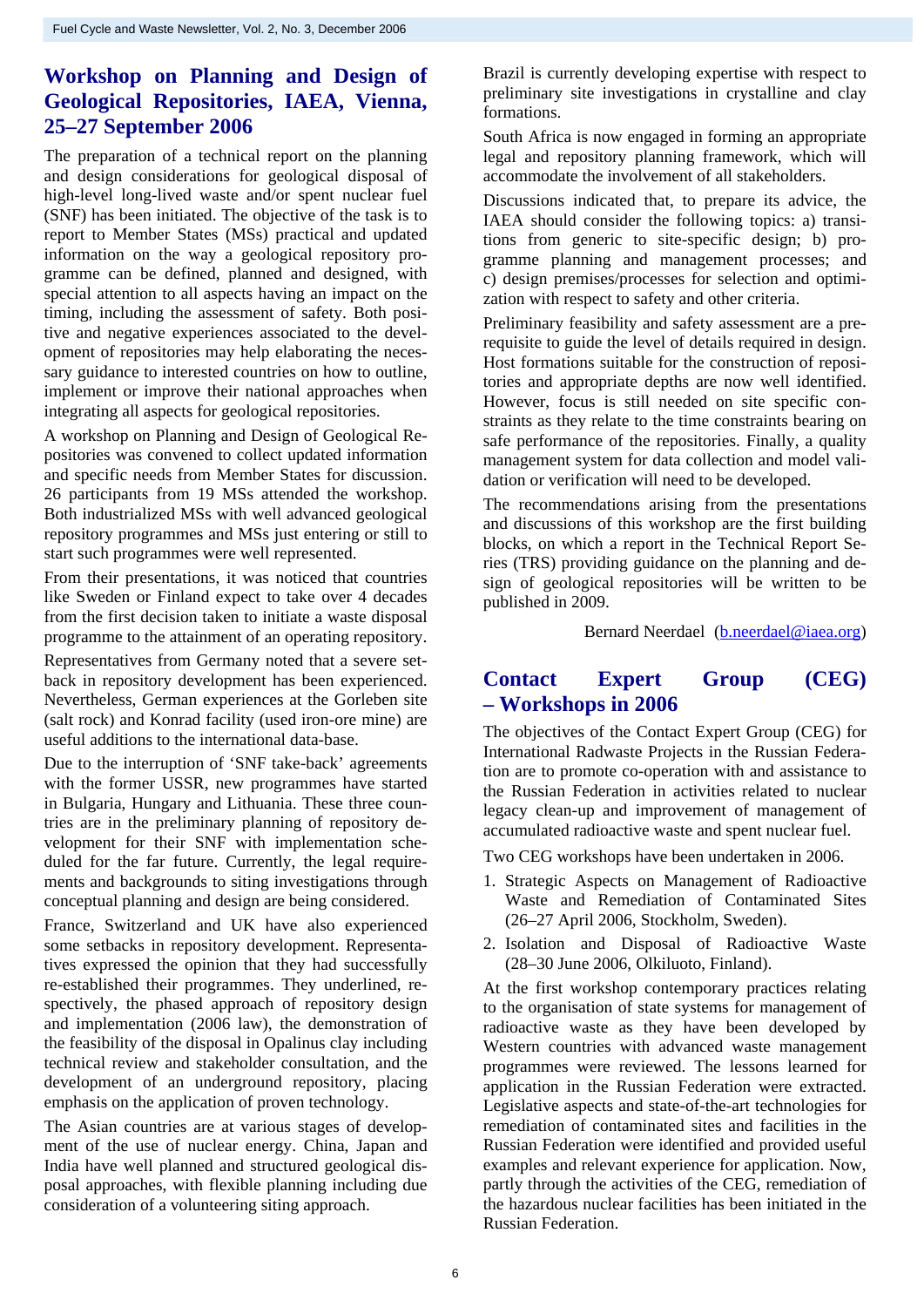## **Workshop on Planning and Design of Geological Repositories, IAEA, Vienna, 25–27 September 2006**

The preparation of a technical report on the planning and design considerations for geological disposal of high-level long-lived waste and/or spent nuclear fuel (SNF) has been initiated. The objective of the task is to report to Member States (MSs) practical and updated information on the way a geological repository programme can be defined, planned and designed, with special attention to all aspects having an impact on the timing, including the assessment of safety. Both positive and negative experiences associated to the development of repositories may help elaborating the necessary guidance to interested countries on how to outline, implement or improve their national approaches when integrating all aspects for geological repositories.

A workshop on Planning and Design of Geological Repositories was convened to collect updated information and specific needs from Member States for discussion. 26 participants from 19 MSs attended the workshop. Both industrialized MSs with well advanced geological repository programmes and MSs just entering or still to start such programmes were well represented.

From their presentations, it was noticed that countries like Sweden or Finland expect to take over 4 decades from the first decision taken to initiate a waste disposal programme to the attainment of an operating repository.

Representatives from Germany noted that a severe setback in repository development has been experienced. Nevertheless, German experiences at the Gorleben site (salt rock) and Konrad facility (used iron-ore mine) are useful additions to the international data-base.

Due to the interruption of 'SNF take-back' agreements with the former USSR, new programmes have started in Bulgaria, Hungary and Lithuania. These three countries are in the preliminary planning of repository development for their SNF with implementation scheduled for the far future. Currently, the legal requirements and backgrounds to siting investigations through conceptual planning and design are being considered.

France, Switzerland and UK have also experienced some setbacks in repository development. Representatives expressed the opinion that they had successfully re-established their programmes. They underlined, respectively, the phased approach of repository design and implementation (2006 law), the demonstration of the feasibility of the disposal in Opalinus clay including technical review and stakeholder consultation, and the development of an underground repository, placing emphasis on the application of proven technology.

The Asian countries are at various stages of development of the use of nuclear energy. China, Japan and India have well planned and structured geological disposal approaches, with flexible planning including due consideration of a volunteering siting approach.

Brazil is currently developing expertise with respect to preliminary site investigations in crystalline and clay formations.

South Africa is now engaged in forming an appropriate legal and repository planning framework, which will accommodate the involvement of all stakeholders.

Discussions indicated that, to prepare its advice, the IAEA should consider the following topics: a) transitions from generic to site-specific design; b) programme planning and management processes; and c) design premises/processes for selection and optimization with respect to safety and other criteria.

Preliminary feasibility and safety assessment are a prerequisite to guide the level of details required in design. Host formations suitable for the construction of repositories and appropriate depths are now well identified. However, focus is still needed on site specific constraints as they relate to the time constraints bearing on safe performance of the repositories. Finally, a quality management system for data collection and model validation or verification will need to be developed.

The recommendations arising from the presentations and discussions of this workshop are the first building blocks, on which a report in the Technical Report Series (TRS) providing guidance on the planning and design of geological repositories will be written to be published in 2009.

Bernard Neerdael [\(b.neerdael@iaea.org\)](mailto:b.neerdael@iaea.org)

## **Contact Expert Group (CEG) – Workshops in 2006**

The objectives of the Contact Expert Group (CEG) for International Radwaste Projects in the Russian Federation are to promote co-operation with and assistance to the Russian Federation in activities related to nuclear legacy clean-up and improvement of management of accumulated radioactive waste and spent nuclear fuel.

Two CEG workshops have been undertaken in 2006.

- 1. Strategic Aspects on Management of Radioactive Waste and Remediation of Contaminated Sites (26–27 April 2006, Stockholm, Sweden).
- 2. Isolation and Disposal of Radioactive Waste (28–30 June 2006, Olkiluoto, Finland).

At the first workshop contemporary practices relating to the organisation of state systems for management of radioactive waste as they have been developed by Western countries with advanced waste management programmes were reviewed. The lessons learned for application in the Russian Federation were extracted. Legislative aspects and state-of-the-art technologies for remediation of contaminated sites and facilities in the Russian Federation were identified and provided useful examples and relevant experience for application. Now, partly through the activities of the CEG, remediation of the hazardous nuclear facilities has been initiated in the Russian Federation.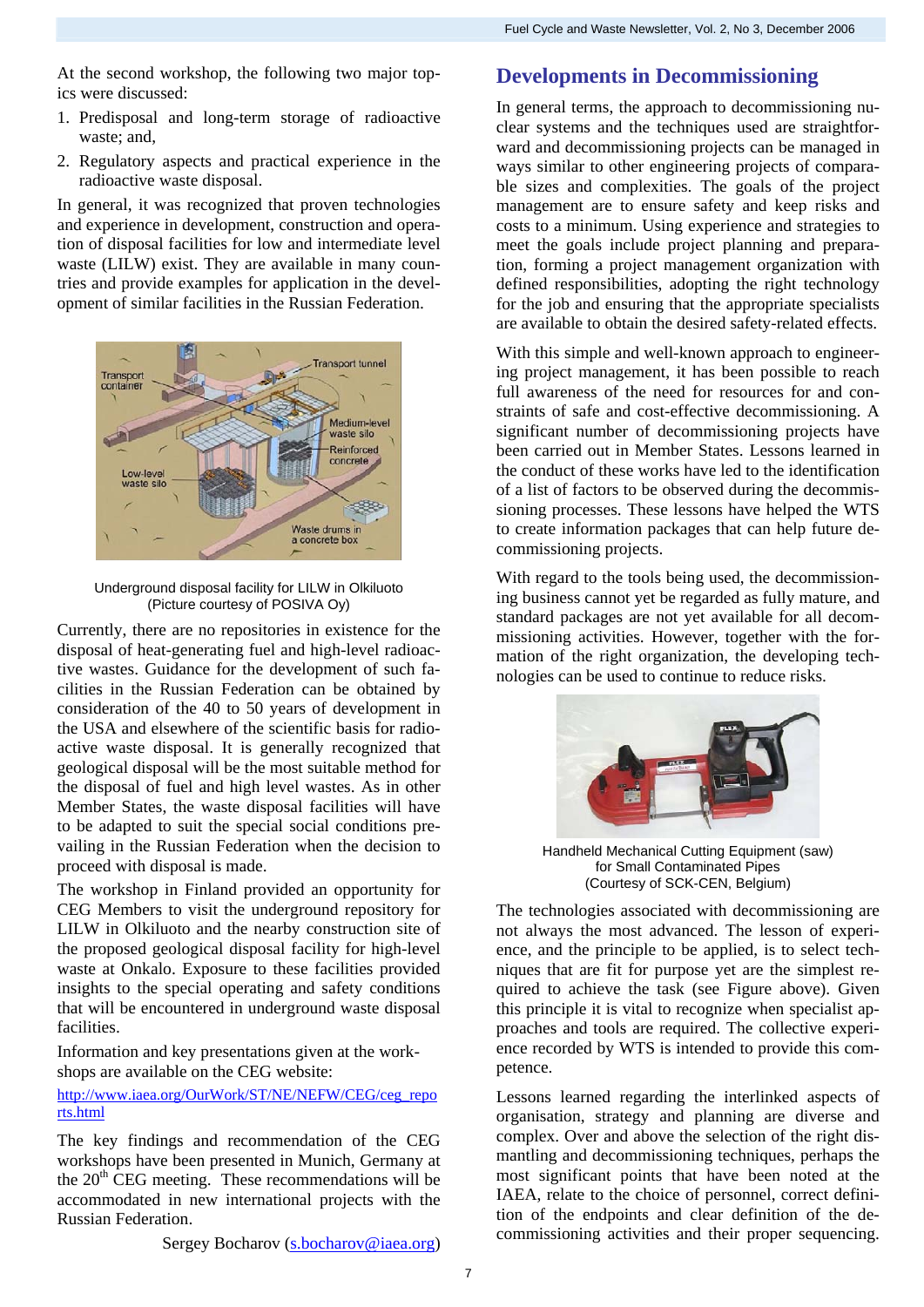At the second workshop, the following two major topics were discussed:

- 1. Predisposal and long-term storage of radioactive waste; and,
- 2. Regulatory aspects and practical experience in the radioactive waste disposal.

In general, it was recognized that proven technologies and experience in development, construction and operation of disposal facilities for low and intermediate level waste (LILW) exist. They are available in many countries and provide examples for application in the development of similar facilities in the Russian Federation.



Underground disposal facility for LILW in Olkiluoto (Picture courtesy of POSIVA Oy)

Currently, there are no repositories in existence for the disposal of heat-generating fuel and high-level radioactive wastes. Guidance for the development of such facilities in the Russian Federation can be obtained by consideration of the 40 to 50 years of development in the USA and elsewhere of the scientific basis for radioactive waste disposal. It is generally recognized that geological disposal will be the most suitable method for the disposal of fuel and high level wastes. As in other Member States, the waste disposal facilities will have to be adapted to suit the special social conditions prevailing in the Russian Federation when the decision to proceed with disposal is made.

The workshop in Finland provided an opportunity for CEG Members to visit the underground repository for LILW in Olkiluoto and the nearby construction site of the proposed geological disposal facility for high-level waste at Onkalo. Exposure to these facilities provided insights to the special operating and safety conditions that will be encountered in underground waste disposal facilities.

Information and key presentations given at the workshops are available on the CEG website:

## [http://www.iaea.org/OurWork/ST/NE/NEFW/CEG/ceg\\_repo](http://www.iaea.org/OurWork/ST/NE/NEFW/CEG/ceg_reports.html) [rts.html](http://www.iaea.org/OurWork/ST/NE/NEFW/CEG/ceg_reports.html)

The key findings and recommendation of the CEG workshops have been presented in Munich, Germany at the  $20<sup>th</sup>$  CEG meeting. These recommendations will be accommodated in new international projects with the Russian Federation.

Sergey Bocharov (s.bocharov@iaea.org)

## **Developments in Decommissioning**

In general terms, the approach to decommissioning nuclear systems and the techniques used are straightforward and decommissioning projects can be managed in ways similar to other engineering projects of comparable sizes and complexities. The goals of the project management are to ensure safety and keep risks and costs to a minimum. Using experience and strategies to meet the goals include project planning and preparation, forming a project management organization with defined responsibilities, adopting the right technology for the job and ensuring that the appropriate specialists are available to obtain the desired safety-related effects.

With this simple and well-known approach to engineering project management, it has been possible to reach full awareness of the need for resources for and constraints of safe and cost-effective decommissioning. A significant number of decommissioning projects have been carried out in Member States. Lessons learned in the conduct of these works have led to the identification of a list of factors to be observed during the decommissioning processes. These lessons have helped the WTS to create information packages that can help future decommissioning projects.

With regard to the tools being used, the decommissioning business cannot yet be regarded as fully mature, and standard packages are not yet available for all decommissioning activities. However, together with the formation of the right organization, the developing technologies can be used to continue to reduce risks.



) Handheld Mechanical Cutting Equipment (saw for Small Contaminated Pipes (Courtesy of SCK-CEN, Belgium)

The technologies associated with decommissioning are not always the most advanced. The lesson of experience, and the principle to be applied, is to select techniques that are fit for purpose yet are the simplest required to achieve the task (see Figure above). Given this principle it is vital to recognize when specialist approaches and tools are required. The collective experience recorded by WTS is intended to provide this competence.

Lessons learned regarding the interlinked aspects of organisation, strategy and planning are diverse and complex. Over and above the selection of the right dismantling and decommissioning techniques, perhaps the most significant points that have been noted at the IAEA, relate to the choice of personnel, correct definition of the endpoints and clear definition of the decommissioning activities and their proper sequencing.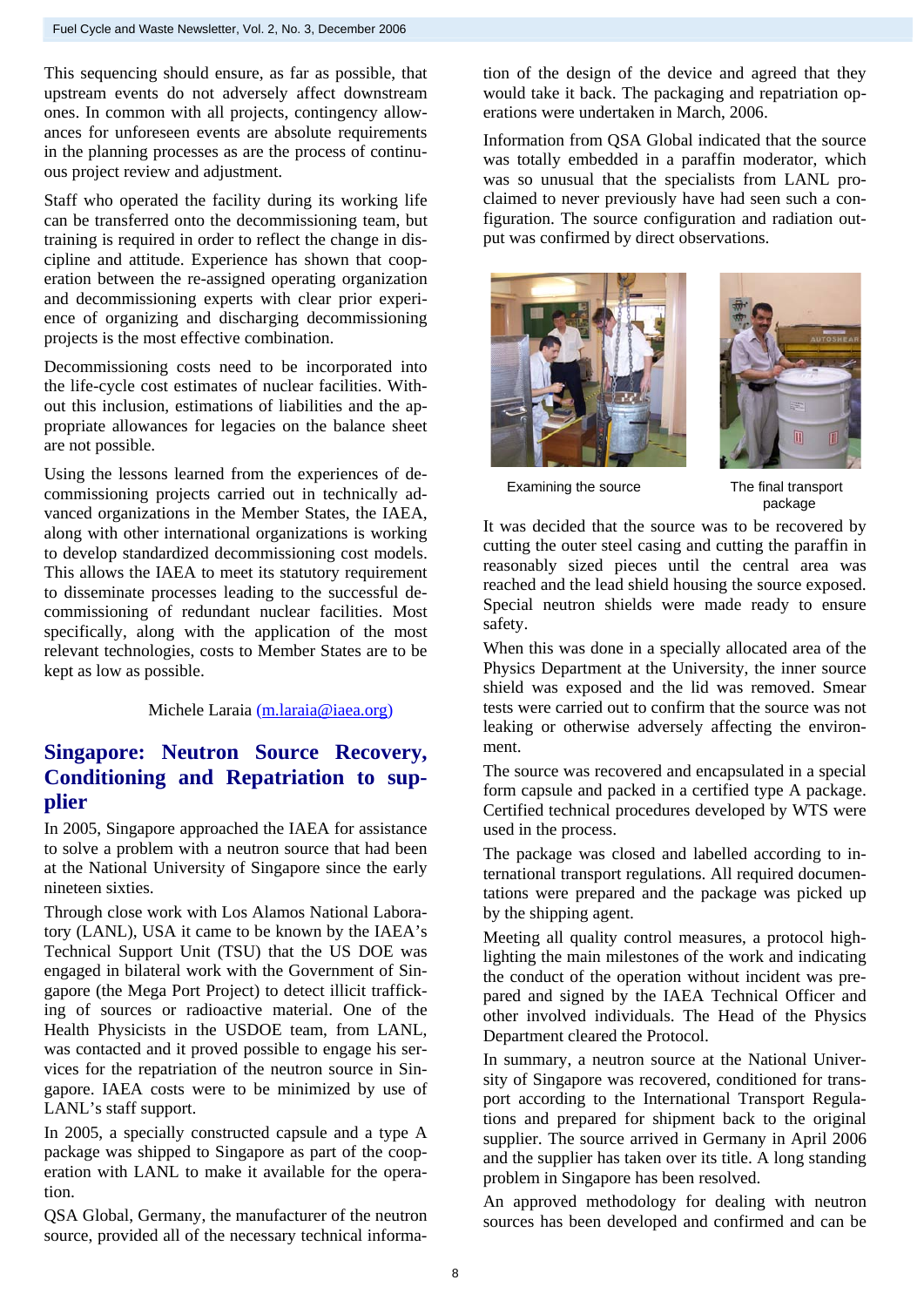This sequencing should ensure, as far as possible, that upstream events do not adversely affect downstream ones. In common with all projects, contingency allowances for unforeseen events are absolute requirements in the planning processes as are the process of continuous project review and adjustment.

can be transferred onto the decommissioning team, but Staff who operated the facility during its working life training is required in order to reflect the change in discipline and attitude. Experience has shown that cooperation between the re-assigned operating organization and decommissioning experts with clear prior experience of organizing and discharging decommissioning projects is the most effective combination.

the life-cycle cost estimates of nuclear facilities. With-Decommissioning costs need to be incorporated into out this inclusion, estimations of liabilities and the appropriate allowances for legacies on the balance sheet are not possible.

commissioning projects carried out in technically ad-Using the lessons learned from the experiences of devanced organizations in the Member States, the IAEA, along with other international organizations is working to develop standardized decommissioning cost models. This allows the IAEA to meet its statutory requirement to disseminate processes leading to the successful decommissioning of redundant nuclear facilities. Most specifically, along with the application of the most relevant technologies, costs to Member States are to be kept as low as possible.

#### Michele Laraia (m.laraia@iaea.org)

## **Singapore: Neutron Source Recovery, Conditioning and Repatriation to supplier**

to solve a problem with a neutron source that had been In 2005, Singapore approached the IAEA for assistance at the National University of Singapore since the early nineteen sixties.

tory (LANL), USA it came to be known by the IAEA's Through close work with Los Alamos National Labora-Technical Support Unit (TSU) that the US DOE was engaged in bilateral work with the Government of Singapore (the Mega Port Project) to detect illicit trafficking of sources or radioactive material. One of the Health Physicists in the USDOE team, from LANL, was contacted and it proved possible to engage his services for the repatriation of the neutron source in Singapore. IAEA costs were to be minimized by use of LANL's staff support.

package was shipped to Singapore as part of the coop-In 2005, a specially constructed capsule and a type A eration with LANL to make it available for the operation.

source, provided all of the necessary technical informa-QSA Global, Germany, the manufacturer of the neutron tion of the design of the device and agreed that they would take it back. The packaging and repatriation operations were undertaken in March, 2006.

was totally embedded in a paraffin moderator, which Information from QSA Global indicated that the source was so unusual that the specialists from LANL proclaimed to never previously have had seen such a configuration. The source configuration and radiation output was confirmed by direct observations.





Examining the source The final transport

package

It was decided that the source was to be recovered by cutting the outer steel casing and cutting the paraffin in reasonably sized pieces until the central area was reached and the lead shield housing the source exposed. Special neutron shields were made ready to ensure safety.

Physics Department at the University, the inner source When this was done in a specially allocated area of the shield was exposed and the lid was removed. Smear tests were carried out to confirm that the source was not leaking or otherwise adversely affecting the environment.

form capsule and packed in a certified type A package. The source was recovered and encapsulated in a special Certified technical procedures developed by WTS were used in the process.

ternational transport regulations. All required documen-The package was closed and labelled according to intations were prepared and the package was picked up by the shipping agent.

lighting the main milestones of the work and indicating Meeting all quality control measures, a protocol highthe conduct of the operation without incident was prepared and signed by the IAEA Technical Officer and other involved individuals. The Head of the Physics Department cleared the Protocol.

sity of Singapore was recovered, conditioned for trans-In summary, a neutron source at the National Univerport according to the International Transport Regulations and prepared for shipment back to the original supplier. The source arrived in Germany in April 2006 and the supplier has taken over its title. A long standing problem in Singapore has been resolved.

sources has been developed and confirmed and can be An approved methodology for dealing with neutron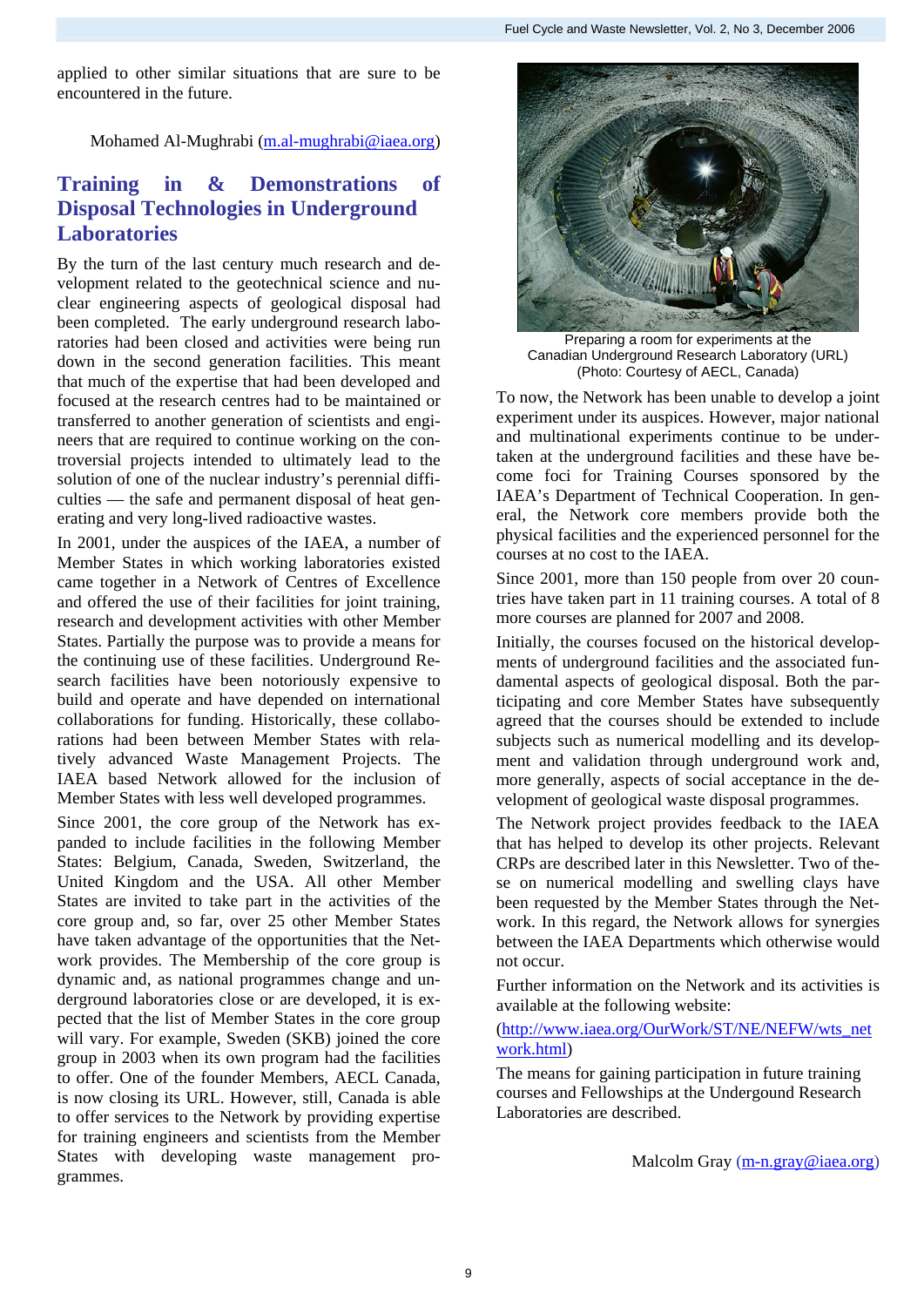applied to other similar situations that are sure to be encountered in the future.

### Mohamed Al-Mughrabi (m.al-mughrabi@iaea.org)

### **Training** in & Demonstrations of **Disposal Technologies in Underground Laboratories**

velopment related to the geotechnical science and nu-By the turn of the last century much research and declear engineering aspects of geological disposal had been completed. The early underground research laboratories had been closed and activities were being run down in the second generation facilities. This meant that much of the expertise that had been developed and focused at the research centres had to be maintained or transferred to another generation of scientists and engineers that are required to continue working on the controversial projects intended to ultimately lead to the solution of one of the nuclear industry's perennial difficulties — the safe and permanent disposal of heat generating and very long-lived radioactive wastes.

Member States in which working laboratories existed In 2001, under the auspices of the IAEA, a number of came together in a Network of Centres of Excellence and offered the use of their facilities for joint training, research and development activities with other Member States. Partially the purpose was to provide a means for the continuing use of these facilities. Underground Research facilities have been notoriously expensive to build and operate and have depended on international collaborations for funding. Historically, these collaborations had been between Member States with relatively advanced Waste Management Projects. The IAEA based Network allowed for the inclusion of Member States with less well developed programmes.

panded to include facilities in the following Member Since 2001, the core group of the Network has ex-States: Belgium, Canada, Sweden, Switzerland, the United Kingdom and the USA. All other Member States are invited to take part in the activities of the core group and, so far, over 25 other Member States have taken advantage of the opportunities that the Network provides. The Membership of the core group is dynamic and, as national programmes change and underground laboratories close or are developed, it is expected that the list of Member States in the core group will vary. For example, Sweden (SKB) joined the core group in 2003 when its own program had the facilities to offer. One of the founder Members, AECL Canada, is now closing its URL. However, still, Canada is able to offer services to the Network by providing expertise for training engineers and scientists from the Member States with developing waste management programmes.



Preparing a room for experiments at the Canadian Underground Research Laboratory (URL) (Photo: Courtesy of AECL, Canada)

To now, the Network has been unable to develop a joint experiment under its auspices. However, major national and multinational experiments continue to be undertaken at the underground facilities and these have become foci for Training Courses sponsored by the IAEA's Department of Technical Cooperation. In general, the Network core members provide both the physical facilities and the experienced personnel for the courses at no cost to the IAEA.

Since 2001, more than 150 people from over 20 countries have taken part in 11 training courses. A total of 8 more courses are planned for 2007 and 2008.

Initially, the courses focused on the historical developments of underground facilities and the associated fundamental aspects of geological disposal. Both the participating and core Member States have subsequently agreed that the courses should be extended to include subjects such as numerical modelling and its development and validation through underground work and, more generally, aspects of social acceptance in the development of geological waste disposal programmes.

The Network project provides feedback to the IAEA that has helped to develop its other projects. Relevant CRPs are described later in this Newsletter. Two of these on numerical modelling and swelling clays have been requested by the Member States through the Network. In this regard, the Network allows for synergies between the IAEA Departments which otherwise would not occur.

Further information on the Network and its activities is available at the following website:

([http://www.iaea.org/OurWork/ST/NE/NEFW/wts\\_net](http://www.iaea.org/OurWork/ST/NE/NEFW/wts_network.html) [work.html](http://www.iaea.org/OurWork/ST/NE/NEFW/wts_network.html))

The means for gaining participation in future training courses and Fellowships at the Undergound Research Laboratories are described.

Malcolm Gray [\(m-n.gray@iaea.org](mailto:m-n.gray@iaea.org))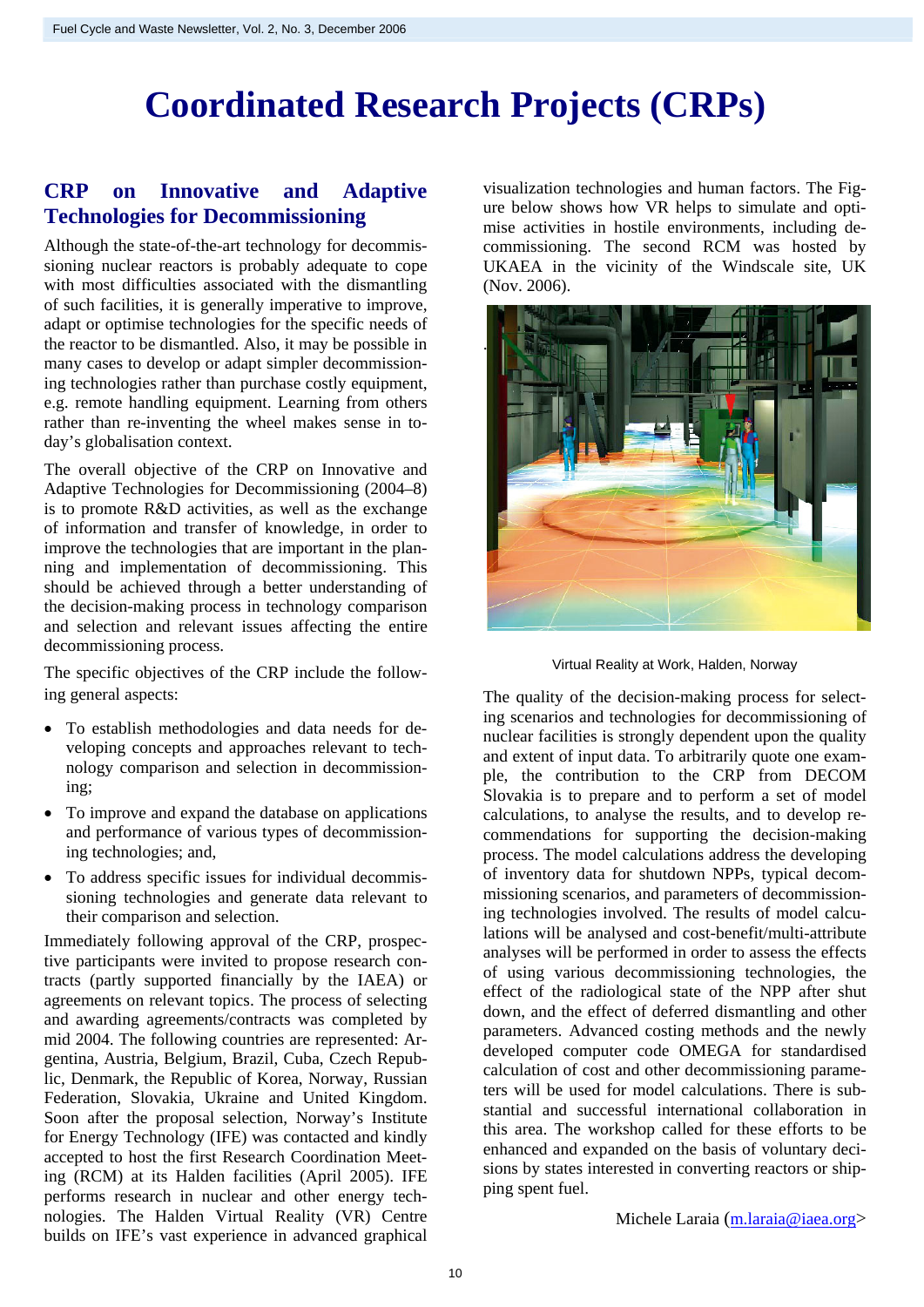## **Coordinated Research Projects (CRPs)**

## **CRP on Innovative and Adaptive Technologies for Decommissioning**

Although the state-of-the-art technology for decommissioning nuclear reactors is probably adequate to cope with most difficulties associated with the dismantling of such facilities, it is generally imperative to improve, adapt or optimise technologies for the specific needs of the reactor to be dismantled. Also, it may be possible in many cases to develop or adapt simpler decommissioning technologies rather than purchase costly equipment, e.g. remote handling equipment. Learning from others rather than re-inventing the wheel makes sense in today's globalisation context.

The overall objective of the CRP on Innovative and Adaptive Technologies for Decommissioning (2004–8) is to promote R&D activities, as well as the exchange of information and transfer of knowledge, in order to improve the technologies that are important in the planning and implementation of decommissioning. This should be achieved through a better understanding of the decision-making process in technology comparison and selection and relevant issues affecting the entire decommissioning process.

The specific objectives of the CRP include the following general aspects:

- To establish methodologies and data needs for developing concepts and approaches relevant to technology comparison and selection in decommissioning;
- To improve and expand the database on applications and performance of various types of decommissioning technologies; and,
- To address specific issues for individual decommissioning technologies and generate data relevant to their comparison and selection.

Immediately following approval of the CRP, prospective participants were invited to propose research contracts (partly supported financially by the IAEA) or agreements on relevant topics. The process of selecting and awarding agreements/contracts was completed by mid 2004. The following countries are represented: Argentina, Austria, Belgium, Brazil, Cuba, Czech Republic, Denmark, the Republic of Korea, Norway, Russian Federation, Slovakia, Ukraine and United Kingdom. Soon after the proposal selection, Norway's Institute for Energy Technology (IFE) was contacted and kindly accepted to host the first Research Coordination Meeting (RCM) at its Halden facilities (April 2005). IFE performs research in nuclear and other energy technologies. The Halden Virtual Reality (VR) Centre builds on IFE's vast experience in advanced graphical

visualization technologies and human factors. The Figure below shows how VR helps to simulate and optimise activities in hostile environments, including decommissioning. The second RCM was hosted by UKAEA in the vicinity of the Windscale site, UK (Nov. 2006).



Virtual Reality at Work, Halden, Norway

The quality of the decision-making process for selecting scenarios and technologies for decommissioning of nuclear facilities is strongly dependent upon the quality and extent of input data. To arbitrarily quote one example, the contribution to the CRP from DECOM Slovakia is to prepare and to perform a set of model calculations, to analyse the results, and to develop recommendations for supporting the decision-making process. The model calculations address the developing of inventory data for shutdown NPPs, typical decommissioning scenarios, and parameters of decommissioning technologies involved. The results of model calculations will be analysed and cost-benefit/multi-attribute analyses will be performed in order to assess the effects of using various decommissioning technologies, the effect of the radiological state of the NPP after shut down, and the effect of deferred dismantling and other parameters. Advanced costing methods and the newly developed computer code OMEGA for standardised calculation of cost and other decommissioning parameters will be used for model calculations. There is substantial and successful international collaboration in this area. The workshop called for these efforts to be enhanced and expanded on the basis of voluntary decisions by states interested in converting reactors or shipping spent fuel.

Michele Laraia ([m.laraia@iaea.org>](mailto:m.laraia@iaea.org)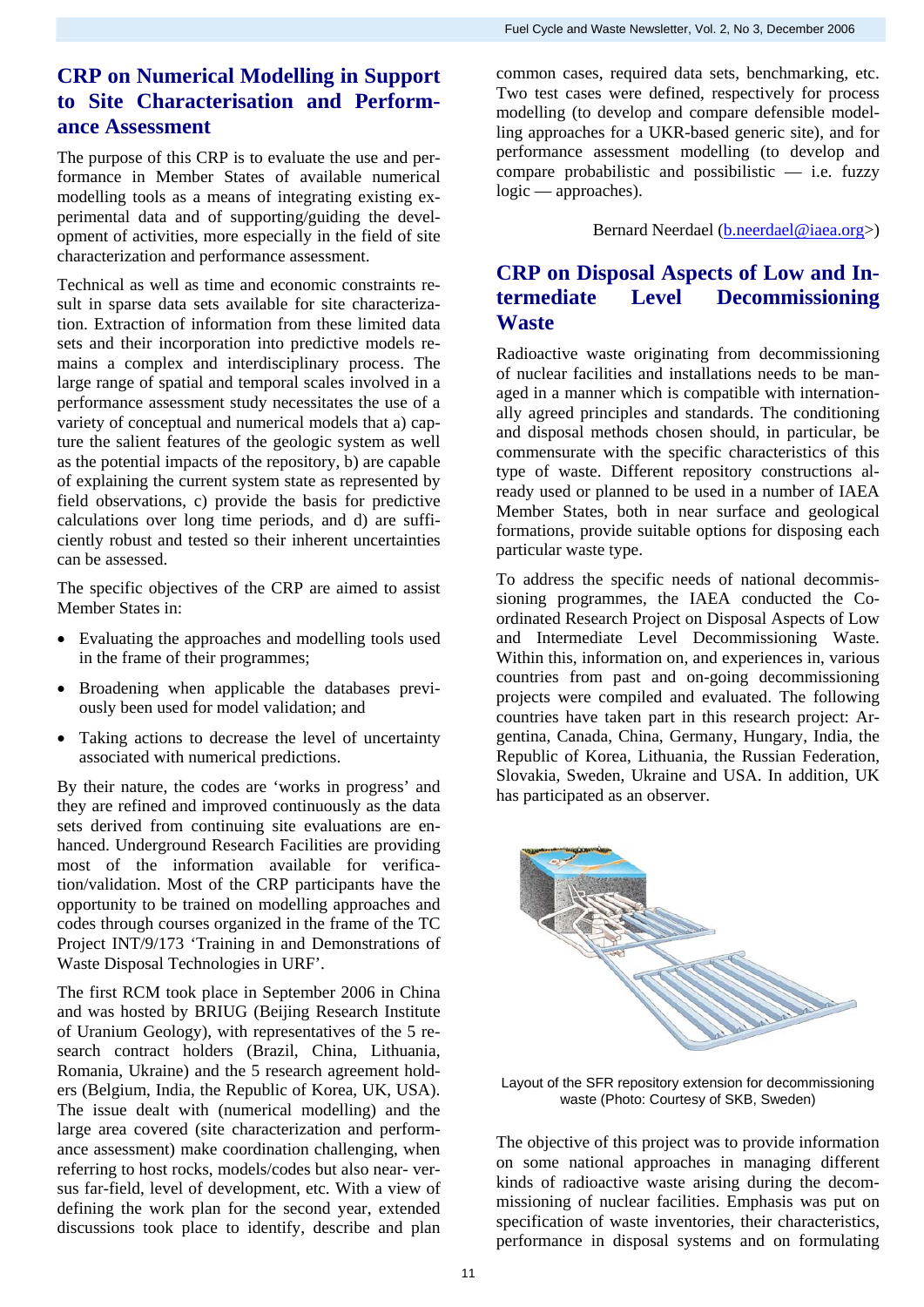## **CRP on Numerical Modelling in Support to Site Characterisation and Performance Assessment**

The purpose of this CRP is to evaluate the use and performance in Member States of available numerical modelling tools as a means of integrating existing experimental data and of supporting/guiding the development of activities, more especially in the field of site characterization and performance assessment.

Technical as well as time and economic constraints result in sparse data sets available for site characterization. Extraction of information from these limited data sets and their incorporation into predictive models remains a complex and interdisciplinary process. The large range of spatial and temporal scales involved in a performance assessment study necessitates the use of a variety of conceptual and numerical models that a) capture the salient features of the geologic system as well as the potential impacts of the repository, b) are capable of explaining the current system state as represented by field observations, c) provide the basis for predictive calculations over long time periods, and d) are sufficiently robust and tested so their inherent uncertainties can be assessed.

The specific objectives of the CRP are aimed to assist Member States in:

- Evaluating the approaches and modelling tools used in the frame of their programmes;
- Broadening when applicable the databases previously been used for model validation; and
- Taking actions to decrease the level of uncertainty associated with numerical predictions.

By their nature, the codes are 'works in progress' and they are refined and improved continuously as the data sets derived from continuing site evaluations are enhanced. Underground Research Facilities are providing most of the information available for verification/validation. Most of the CRP participants have the opportunity to be trained on modelling approaches and codes through courses organized in the frame of the TC Project INT/9/173 'Training in and Demonstrations of Waste Disposal Technologies in URF'.

The first RCM took place in September 2006 in China and was hosted by BRIUG (Beijing Research Institute of Uranium Geology), with representatives of the 5 research contract holders (Brazil, China, Lithuania, Romania, Ukraine) and the 5 research agreement holders (Belgium, India, the Republic of Korea, UK, USA). The issue dealt with (numerical modelling) and the large area covered (site characterization and performance assessment) make coordination challenging, when referring to host rocks, models/codes but also near- versus far-field, level of development, etc. With a view of defining the work plan for the second year, extended discussions took place to identify, describe and plan common cases, required data sets, benchmarking, etc. Two test cases were defined, respectively for process modelling (to develop and compare defensible modelling approaches for a UKR-based generic site), and for performance assessment modelling (to develop and compare probabilistic and possibilistic  $-$  i.e. fuzzy logic — approaches).

Bernard Neerdael [\(b.neerdael@iaea.org](mailto:b.neerdael@iaea.org)>)

## **CRP on Disposal Aspects of Low and Intermediate Level Decommissioning Waste**

Radioactive waste originating from decommissioning of nuclear facilities and installations needs to be managed in a manner which is compatible with internationally agreed principles and standards. The conditioning and disposal methods chosen should, in particular, be commensurate with the specific characteristics of this type of waste. Different repository constructions already used or planned to be used in a number of IAEA Member States, both in near surface and geological formations, provide suitable options for disposing each particular waste type.

To address the specific needs of national decommissioning programmes, the IAEA conducted the Coordinated Research Project on Disposal Aspects of Low and Intermediate Level Decommissioning Waste. Within this, information on, and experiences in, various countries from past and on-going decommissioning projects were compiled and evaluated. The following countries have taken part in this research project: Argentina, Canada, China, Germany, Hungary, India, the Republic of Korea, Lithuania, the Russian Federation, Slovakia, Sweden, Ukraine and USA. In addition, UK has participated as an observer.



Layout of the SFR repository extension for decommissioning waste (Photo: Courtesy of SKB, Sweden)

The objective of this project was to provide information on some national approaches in managing different kinds of radioactive waste arising during the decommissioning of nuclear facilities. Emphasis was put on specification of waste inventories, their characteristics, performance in disposal systems and on formulating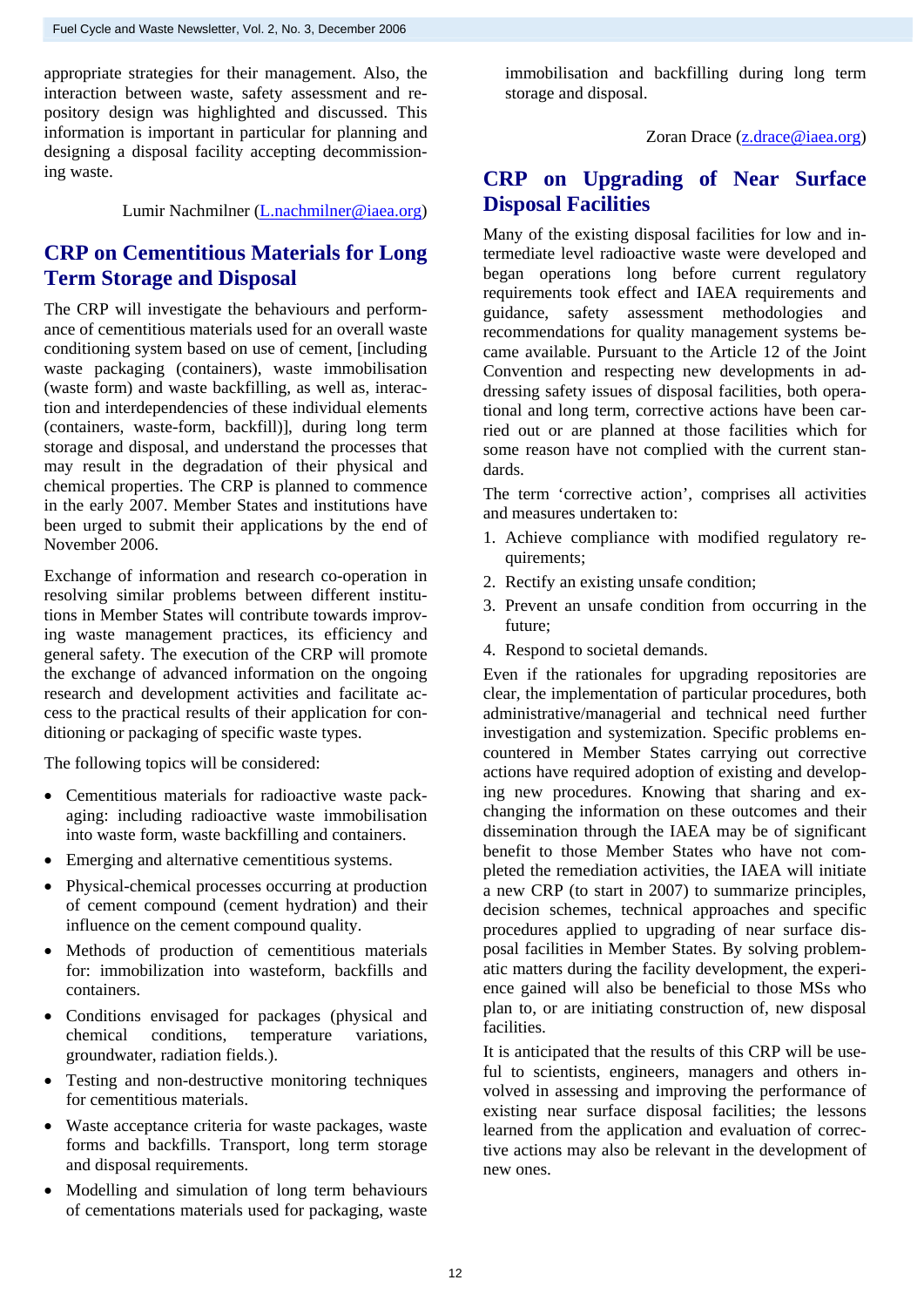appropriate strategies for their management. Also, the interaction between waste, safety assessment and repository design was highlighted and discussed. This information is important in particular for planning and designing a disposal facility accepting decommissioning waste.

Lumir Nachmilner ([L.nachmilner@iaea.org\)](mailto:L.nachmilner@iaea.org)

## **CRP on Cementitious Materials for Long Term Storage and Disposal**

The CRP will investigate the behaviours and performance of cementitious materials used for an overall waste conditioning system based on use of cement, [including waste packaging (containers), waste immobilisation (waste form) and waste backfilling, as well as, interaction and interdependencies of these individual elements (containers, waste-form, backfill)], during long term storage and disposal, and understand the processes that may result in the degradation of their physical and chemical properties. The CRP is planned to commence in the early 2007. Member States and institutions have been urged to submit their applications by the end of November 2006.

Exchange of information and research co-operation in resolving similar problems between different institutions in Member States will contribute towards improving waste management practices, its efficiency and general safety. The execution of the CRP will promote the exchange of advanced information on the ongoing research and development activities and facilitate access to the practical results of their application for conditioning or packaging of specific waste types.

The following topics will be considered:

- Cementitious materials for radioactive waste packaging: including radioactive waste immobilisation into waste form, waste backfilling and containers.
- Emerging and alternative cementitious systems.
- Physical-chemical processes occurring at production of cement compound (cement hydration) and their influence on the cement compound quality.
- Methods of production of cementitious materials for: immobilization into wasteform, backfills and containers.
- Conditions envisaged for packages (physical and chemical conditions, temperature variations, groundwater, radiation fields.).
- Testing and non-destructive monitoring techniques for cementitious materials.
- Waste acceptance criteria for waste packages, waste forms and backfills. Transport, long term storage and disposal requirements.
- Modelling and simulation of long term behaviours of cementations materials used for packaging, waste

immobilisation and backfilling during long term storage and disposal.

Zoran Drace [\(z.drace@iaea.org\)](mailto:z.drace@iaea.org)

## **CRP on Upgrading of Near Surface Disposal Facilities**

Many of the existing disposal facilities for low and intermediate level radioactive waste were developed and began operations long before current regulatory requirements took effect and IAEA requirements and guidance, safety assessment methodologies and recommendations for quality management systems became available. Pursuant to the Article 12 of the Joint Convention and respecting new developments in addressing safety issues of disposal facilities, both operational and long term, corrective actions have been carried out or are planned at those facilities which for some reason have not complied with the current standards.

The term 'corrective action', comprises all activities and measures undertaken to:

- 1. Achieve compliance with modified regulatory requirements;
- 2. Rectify an existing unsafe condition;
- 3. Prevent an unsafe condition from occurring in the future;
- 4. Respond to societal demands.

Even if the rationales for upgrading repositories are clear, the implementation of particular procedures, both administrative/managerial and technical need further investigation and systemization. Specific problems encountered in Member States carrying out corrective actions have required adoption of existing and developing new procedures. Knowing that sharing and exchanging the information on these outcomes and their dissemination through the IAEA may be of significant benefit to those Member States who have not completed the remediation activities, the IAEA will initiate a new CRP (to start in 2007) to summarize principles, decision schemes, technical approaches and specific procedures applied to upgrading of near surface disposal facilities in Member States. By solving problematic matters during the facility development, the experience gained will also be beneficial to those MSs who plan to, or are initiating construction of, new disposal facilities.

It is anticipated that the results of this CRP will be useful to scientists, engineers, managers and others involved in assessing and improving the performance of existing near surface disposal facilities; the lessons learned from the application and evaluation of corrective actions may also be relevant in the development of new ones.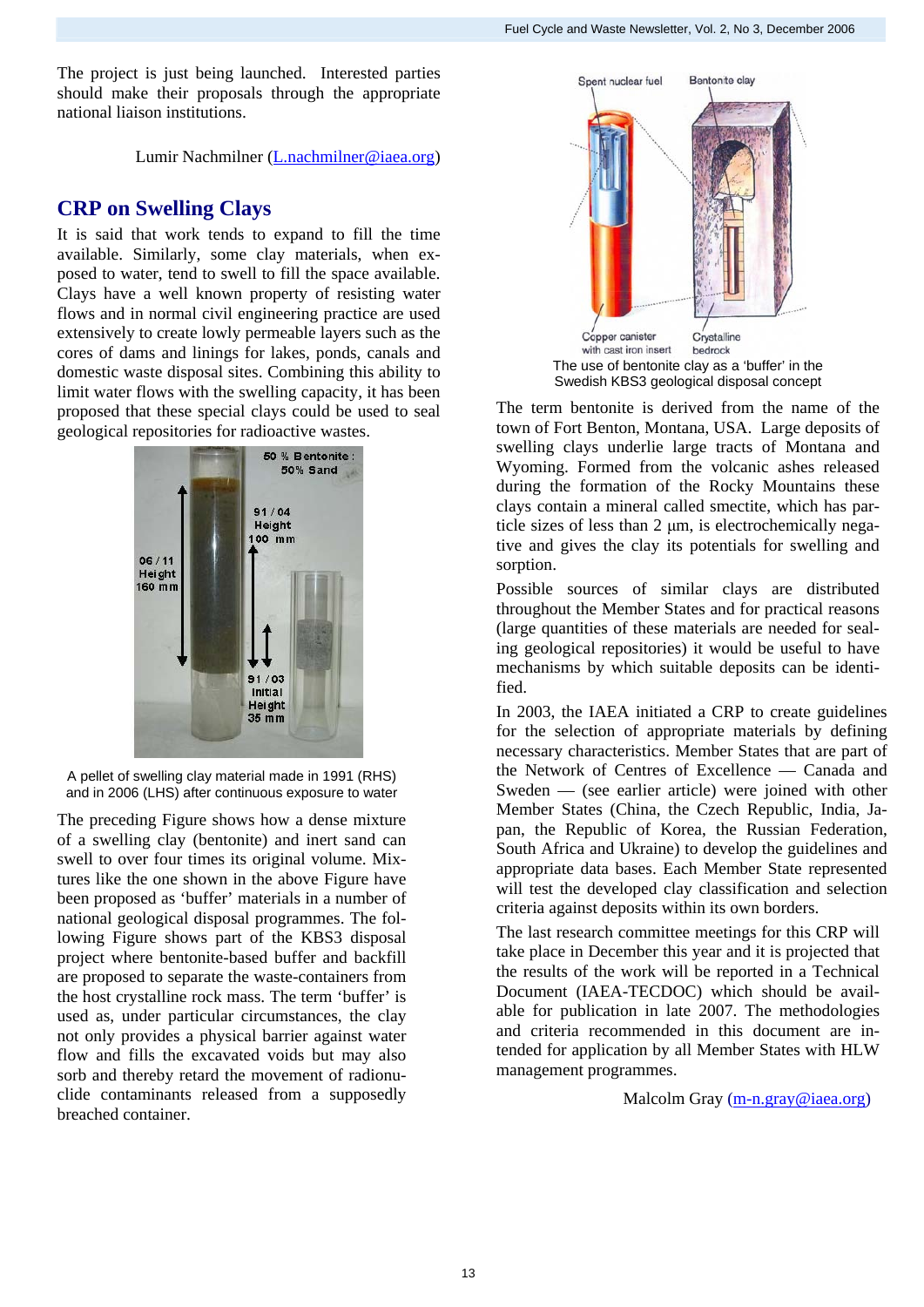The project is just being launched. Interested parties should make their proposals through the appropriate national liaison institutions.

Lumir Nachmilner ([L.nachmilner@iaea.org](mailto:L.nachmilner@iaea.org))

## **CRP on Swelling Clays**

It is said that work tends to expand to fill the time available. Similarly, some clay materials, when exposed to water, tend to swell to fill the space available. Clays have a well known property of resisting water flows and in normal civil engineering practice are used extensively to create lowly permeable layers such as the cores of dams and linings for lakes, ponds, canals and domestic waste disposal sites. Combining this ability to limit water flows with the swelling capacity, it has been proposed that these special clays could be used to seal geological repositories for radioactive wastes.



A pellet of swelling clay material made in 1991 (RHS) and in 2006 (LHS) after continuous exposure to water

The preceding Figure shows how a dense mixture of a swelling clay (bentonite) and inert sand can swell to over four times its original volume. Mixtures like the one shown in the above Figure have been proposed as 'buffer' materials in a number of national geological disposal programmes. The following Figure shows part of the KBS3 disposal project where bentonite-based buffer and backfill are proposed to separate the waste-containers from the host crystalline rock mass. The term 'buffer' is used as, under particular circumstances, the clay not only provides a physical barrier against water flow and fills the excavated voids but may also sorb and thereby retard the movement of radionuclide contaminants released from a supposedly breached container.



The term bentonite is derived from the name of the town of Fort Benton, Montana, USA. Large deposits of swelling clays underlie large tracts of Montana and Wyoming. Formed from the volcanic ashes released during the formation of the Rocky Mountains these clays contain a mineral called smectite, which has particle sizes of less than 2 μm, is electrochemically negative and gives the clay its potentials for swelling and sorption.

Possible sources of similar clays are distributed throughout the Member States and for practical reasons (large quantities of these materials are needed for sealing geological repositories) it would be useful to have mechanisms by which suitable deposits can be identified.

In 2003, the IAEA initiated a CRP to create guidelines for the selection of appropriate materials by defining necessary characteristics. Member States that are part of the Network of Centres of Excellence — Canada and Sweden — (see earlier article) were joined with other Member States (China, the Czech Republic, India, Japan, the Republic of Korea, the Russian Federation, South Africa and Ukraine) to develop the guidelines and appropriate data bases. Each Member State represented will test the developed clay classification and selection criteria against deposits within its own borders.

The last research committee meetings for this CRP will take place in December this year and it is projected that the results of the work will be reported in a Technical Document (IAEA-TECDOC) which should be available for publication in late 2007. The methodologies and criteria recommended in this document are intended for application by all Member States with HLW management programmes.

Malcolm Gray ([m-n.gray@iaea.org\)](mailto:m-n.gray@iaea.org)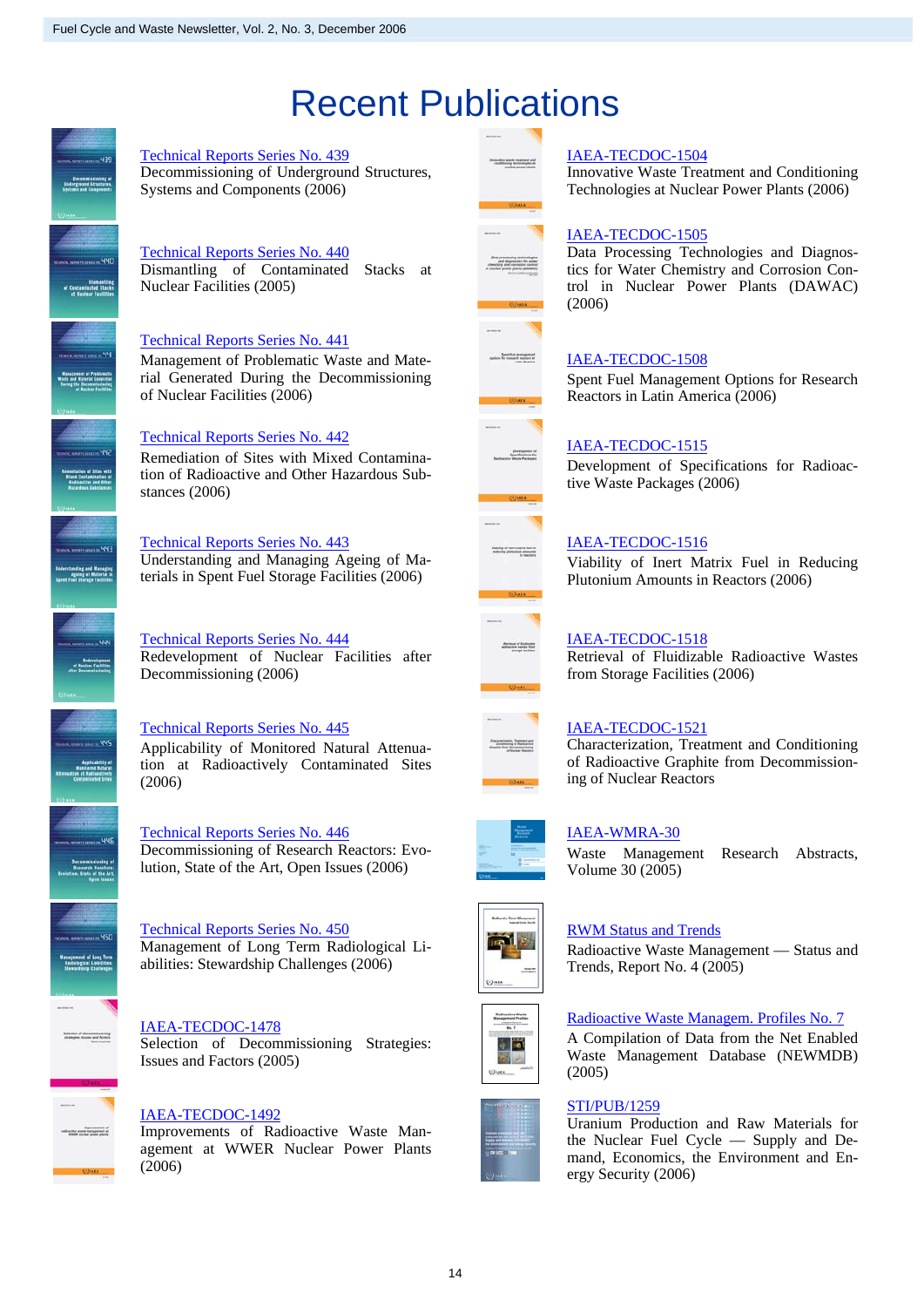## Recent Publications



#### [IAEA-TECDOC-1504](http://www-pub.iaea.org/MTCD/publications/PDF/te_1504_web.pdf)

Innovative Waste Treatment and Conditioning Technologies at Nuclear Power Plants (2006)

## [Technical Reports Series No. 440](http://www-pub.iaea.org/MTCD/publications/PDF/TRS440_web.pdf)

Dismantling of Contaminated Stacks at Nuclear Facilities (2005)

Decommissioning of Underground Structures,

#### [Technical Reports Series No. 441](http://www-pub.iaea.org/MTCD/publications/PDF/TRS441_web.pdf)

[Technical Reports Series No. 439](http://www-pub.iaea.org/MTCD/publications/PDF/TRS439_web.pdf)

Systems and Components (2006)

Management of Problematic Waste and Material Generated During the Decommissioning of Nuclear Facilities (2006)

#### [Technical Reports Series No. 442](http://www-pub.iaea.org/MTCD/publications/PDF/TRS442_web.pdf)

Remediation of Sites with Mixed Contamination of Radioactive and Other Hazardous Substances (2006)

#### [Technical Reports Series No. 443](http://www-pub.iaea.org/MTCD/publications/PDF/TRS443_web.pdf)

Understanding and Managing Ageing of Materials in Spent Fuel Storage Facilities (2006)

[Technical Reports Series No. 444](http://www-pub.iaea.org/MTCD/publications/PDF/TRS444_web.pdf) Redevelopment of Nuclear Facilities after Decommissioning (2006)

Technical Reports Series No. 445 Applicability of Monitored Natural Attenuation at Radioactively Contaminated Sites (2006)

[Technical Reports Series No. 446](http://www-pub.iaea.org/MTCD/publications/PDF/TRS446_web.pdf) Decommissioning of Research Reactors: Evolution, State of the Art, Open Issues (2006)

Technical Reports Series No. 450 Management of Long Term Radiological Liabilities: Stewardship Challenges (2006)

[IAEA-TECDOC-1478](http://www-pub.iaea.org/MTCD/publications/PDF/TE_1478_web.pdf) Selection of Decommissioning Strategies: Issues and Factors (2005)

#### [IAEA-TECDOC-1492](http://www-pub.iaea.org/MTCD/publications/PDF/te_1492_web.pdf)

Improvements of Radioactive Waste Management at WWER Nuclear Power Plants (2006)



af managemen<br>andt mactura à

## [IAEA-TECDOC-1505](http://www-pub.iaea.org/MTCD/publications/PDF/te_1505_web.pdf)

Data Processing Technologies and Diagnostics for Water Chemistry and Corrosion Control in Nuclear Power Plants (DAWAC) (2006)

### [IAEA-TECDOC-1508](http://www-pub.iaea.org/MTCD/publications/PDF/te_1508_web.pdf)

Spent Fuel Management Options for Research Reactors in Latin America (2006)

### [IAEA-TECDOC-1515](http://www-pub.iaea.org/MTCD/publications/PDF/te_1515_web.pdf)

Development of Specifications for Radioactive Waste Packages (2006)



### [IAEA-TECDOC-1516](http://www-pub.iaea.org/MTCD/publications/PDF/te_1516_web.pdf)

Viability of Inert Matrix Fuel in Reducing Plutonium Amounts in Reactors (2006)

#### [IAEA-TECDOC-1518](http://www-pub.iaea.org/MTCD/publications/PDF/te_1518_web.pdf)

Retrieval of Fluidizable Radioactive Wastes from Storage Facilities (2006)



#### [IAEA-TECDOC-1521](http://www-pub.iaea.org/MTCD/publications/PDF/te_1521_web.pdf)

Characterization, Treatment and Conditioning of Radioactive Graphite from Decommissioning of Nuclear Reactors



#### [IAEA-WMRA-30](http://www-pub.iaea.org/MTCD/publications/PDF/wmra-30/WMRA30_Start.pdf)

Waste Management Research Abstracts, Volume 30 (2005)



**Reductive World**<br>Mategorian Profiles

#### [RWM Status and Trends](http://www-pub.iaea.org/MTCD/publications/PDF/WMDB-ST-4.pdf)

Radioactive Waste Management — Status and Trends, Report No. 4 (2005)

## [Radioactive Waste Managem. Profiles No. 7](http://www-pub.iaea.org/MTCD/publications/PDF/rwmp-7/RWMP-V7-cover.pdf)

A Compilation of Data from the Net Enabled Waste Management Database (NEWMDB) (2005)

#### [STI/PUB/1259](http://www-pub.iaea.org/MTCD/publications/PDF/Pub1259_web.pdf)

Uranium Production and Raw Materials for the Nuclear Fuel Cycle — Supply and Demand, Economics, the Environment and Energy Security (2006)





#### 14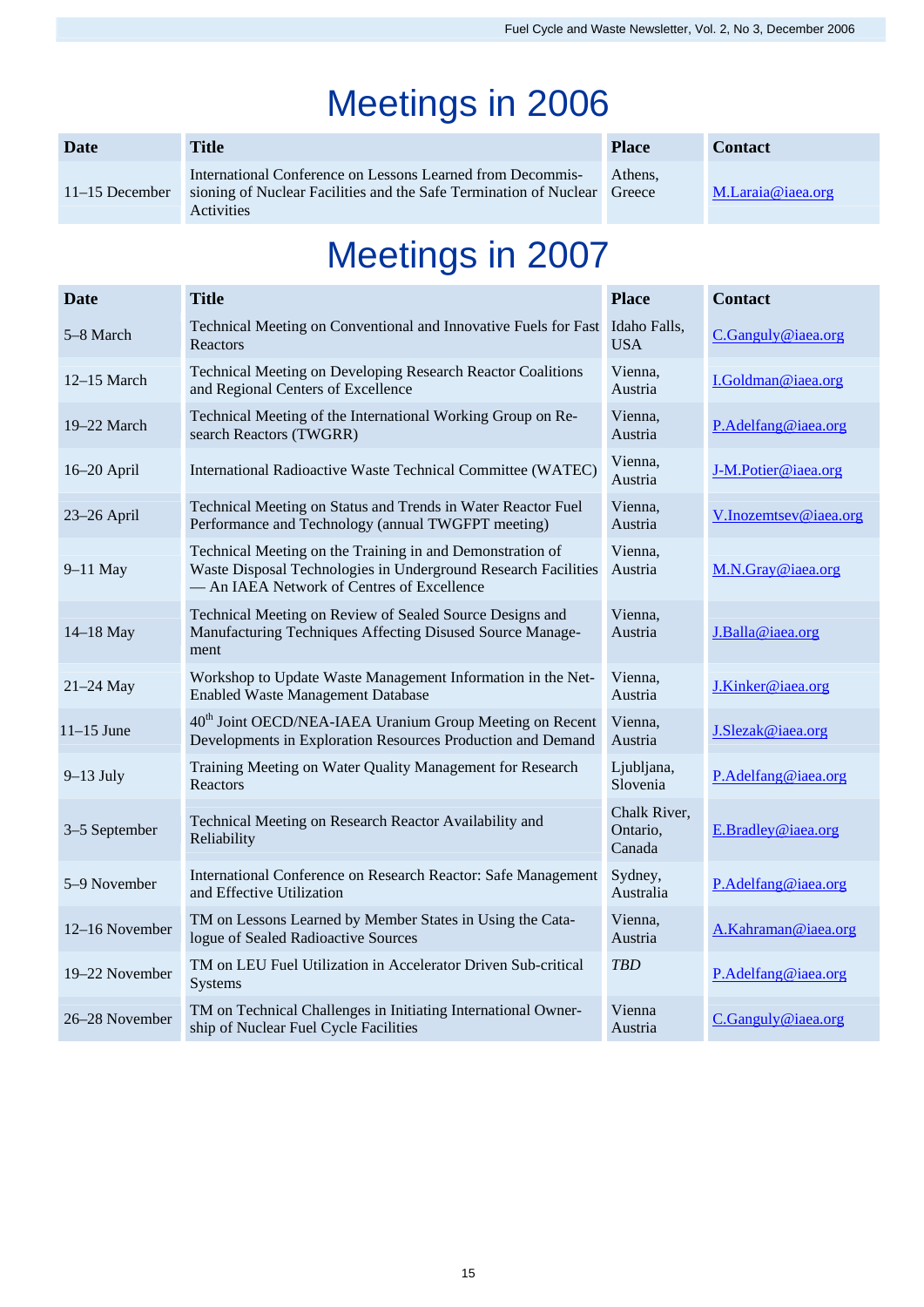## Meetings in 2006

| Date             | Title                                                                                                                                                       | <b>Place</b> | <b>Contact</b>    |
|------------------|-------------------------------------------------------------------------------------------------------------------------------------------------------------|--------------|-------------------|
| $11-15$ December | International Conference on Lessons Learned from Decommis-<br>sioning of Nuclear Facilities and the Safe Termination of Nuclear Greece<br><b>Activities</b> | Athens.      | M.Laraja@iaea.org |

## Meetings in 2007

| <b>Date</b>    | <b>Title</b>                                                                                                                                                              | <b>Place</b>                       | <b>Contact</b>        |
|----------------|---------------------------------------------------------------------------------------------------------------------------------------------------------------------------|------------------------------------|-----------------------|
| 5-8 March      | Technical Meeting on Conventional and Innovative Fuels for Fast<br>Reactors                                                                                               | Idaho Falls,<br><b>USA</b>         | C.Ganguly@iaea.org    |
| $12-15$ March  | Technical Meeting on Developing Research Reactor Coalitions<br>and Regional Centers of Excellence                                                                         | Vienna,<br>Austria                 | I.Goldman@iaea.org    |
| 19-22 March    | Technical Meeting of the International Working Group on Re-<br>search Reactors (TWGRR)                                                                                    | Vienna,<br>Austria                 | P.Adelfang@iaea.org   |
| 16-20 April    | International Radioactive Waste Technical Committee (WATEC)                                                                                                               | Vienna,<br>Austria                 | J-M.Potier@iaea.org   |
| 23-26 April    | Technical Meeting on Status and Trends in Water Reactor Fuel<br>Performance and Technology (annual TWGFPT meeting)                                                        | Vienna,<br>Austria                 | V.Inozemtsev@iaea.org |
| 9-11 May       | Technical Meeting on the Training in and Demonstration of<br>Waste Disposal Technologies in Underground Research Facilities<br>- An IAEA Network of Centres of Excellence | Vienna.<br>Austria                 | M.N.Gray@iaea.org     |
| 14-18 May      | Technical Meeting on Review of Sealed Source Designs and<br>Manufacturing Techniques Affecting Disused Source Manage-<br>ment                                             | Vienna,<br>Austria                 | J.Balla@iaea.org      |
| $21-24$ May    | Workshop to Update Waste Management Information in the Net-<br>Enabled Waste Management Database                                                                          | Vienna,<br>Austria                 | J.Kinker@iaea.org     |
| $11-15$ June   | 40 <sup>th</sup> Joint OECD/NEA-IAEA Uranium Group Meeting on Recent<br>Developments in Exploration Resources Production and Demand                                       | Vienna,<br>Austria                 | J.Slezak@iaea.org     |
| $9-13$ July    | Training Meeting on Water Quality Management for Research<br>Reactors                                                                                                     | Ljubljana,<br>Slovenia             | P.Adelfang@iaea.org   |
| 3-5 September  | Technical Meeting on Research Reactor Availability and<br>Reliability                                                                                                     | Chalk River,<br>Ontario,<br>Canada | E.Bradley@iaea.org    |
| 5-9 November   | International Conference on Research Reactor: Safe Management<br>and Effective Utilization                                                                                | Sydney,<br>Australia               | P.Adelfang@iaea.org   |
| 12-16 November | TM on Lessons Learned by Member States in Using the Cata-<br>logue of Sealed Radioactive Sources                                                                          | Vienna,<br>Austria                 | A.Kahraman@iaea.org   |
| 19-22 November | TM on LEU Fuel Utilization in Accelerator Driven Sub-critical<br>Systems                                                                                                  | <b>TBD</b>                         | P.Adelfang@iaea.org   |
| 26-28 November | TM on Technical Challenges in Initiating International Owner-<br>ship of Nuclear Fuel Cycle Facilities                                                                    | Vienna<br>Austria                  | C.Ganguly@iaea.org    |